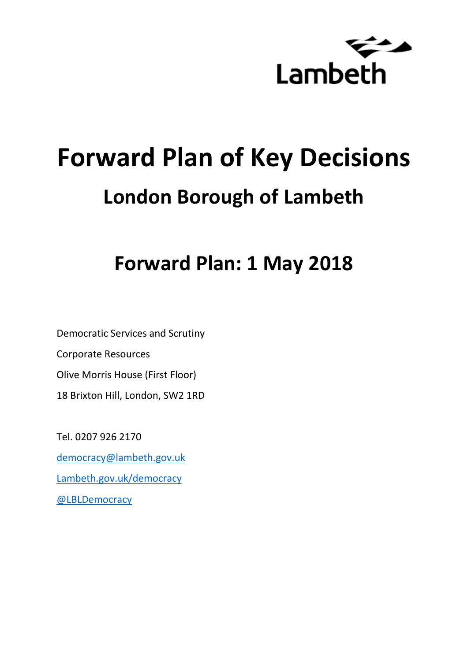

# **Forward Plan of Key Decisions London Borough of Lambeth**

**Forward Plan: 1 May 2018**

Democratic Services and Scrutiny Corporate Resources Olive Morris House (First Floor) 18 Brixton Hill, London, SW2 1RD

Tel. 0207 926 2170 [democracy@lambeth.gov.uk](mailto:democracy@lambeth.gov.uk) [Lambeth.gov.uk/democracy](https://www.lambeth.gov.uk/elections-and-council/meetings-minutes-and-agendas/getting-involved-in-decision-making-guide) [@LBLDemocracy](https://twitter.com/LBLDemocracy?lang=en)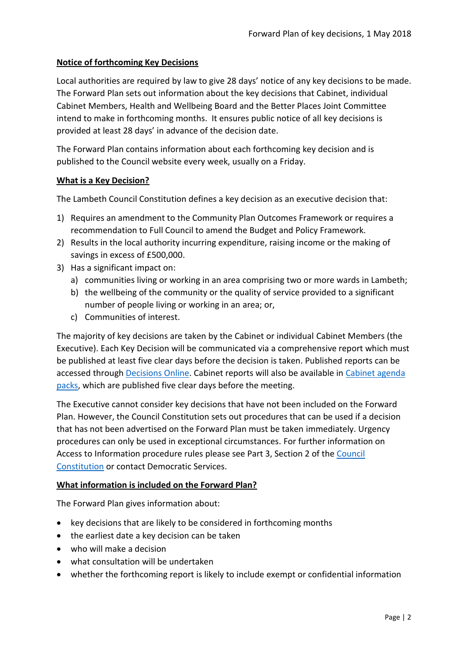#### **Notice of forthcoming Key Decisions**

Local authorities are required by law to give 28 days' notice of any key decisions to be made. The Forward Plan sets out information about the key decisions that Cabinet, individual Cabinet Members, Health and Wellbeing Board and the Better Places Joint Committee intend to make in forthcoming months. It ensures public notice of all key decisions is provided at least 28 days' in advance of the decision date.

The Forward Plan contains information about each forthcoming key decision and is published to the Council website every week, usually on a Friday.

#### **What is a Key Decision?**

The Lambeth Council Constitution defines a key decision as an executive decision that:

- 1) Requires an amendment to the Community Plan Outcomes Framework or requires a recommendation to Full Council to amend the Budget and Policy Framework.
- 2) Results in the local authority incurring expenditure, raising income or the making of savings in excess of £500,000.
- 3) Has a significant impact on:
	- a) communities living or working in an area comprising two or more wards in Lambeth;
	- b) the wellbeing of the community or the quality of service provided to a significant number of people living or working in an area; or,
	- c) Communities of interest.

The majority of key decisions are taken by the Cabinet or individual Cabinet Members (the Executive). Each Key Decision will be communicated via a comprehensive report which must be published at least five clear days before the decision is taken. Published reports can be accessed through [Decisions Online.](http://moderngov.lambeth.gov.uk/mgDelegatedDecisions.aspx?bcr=1&DM=0&DS=2&K=0&DR=&V=0) Cabinet reports will also be available in [Cabinet agenda](https://moderngov.lambeth.gov.uk/ieListMeetings.aspx?CommitteeId=225)  [packs,](https://moderngov.lambeth.gov.uk/ieListMeetings.aspx?CommitteeId=225) which are published five clear days before the meeting.

The Executive cannot consider key decisions that have not been included on the Forward Plan. However, the Council Constitution sets out procedures that can be used if a decision that has not been advertised on the Forward Plan must be taken immediately. Urgency procedures can only be used in exceptional circumstances. For further information on Access to Information procedure rules please see Part 3, Section 2 of the [Council](http://moderngov.lambeth.gov.uk/ieListMeetings.aspx?CId=738&info=1&MD=Constitution)  [Constitution](http://moderngov.lambeth.gov.uk/ieListMeetings.aspx?CId=738&info=1&MD=Constitution) or contact Democratic Services.

#### **What information is included on the Forward Plan?**

The Forward Plan gives information about:

- key decisions that are likely to be considered in forthcoming months
- the earliest date a key decision can be taken
- who will make a decision
- what consultation will be undertaken
- whether the forthcoming report is likely to include exempt or confidential information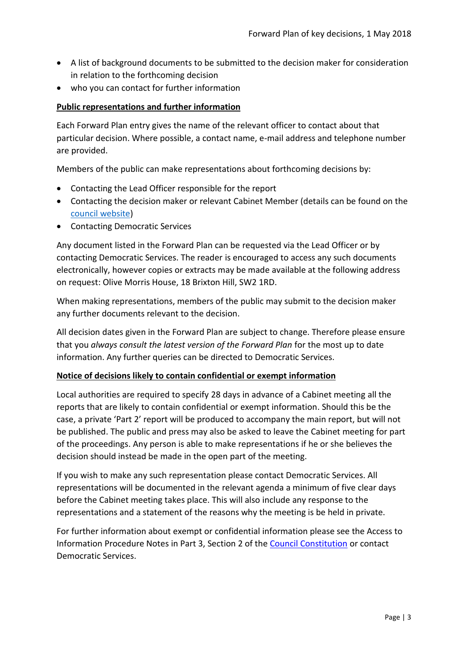- A list of background documents to be submitted to the decision maker for consideration in relation to the forthcoming decision
- who you can contact for further information

#### **Public representations and further information**

Each Forward Plan entry gives the name of the relevant officer to contact about that particular decision. Where possible, a contact name, e-mail address and telephone number are provided.

Members of the public can make representations about forthcoming decisions by:

- Contacting the Lead Officer responsible for the report
- Contacting the decision maker or relevant Cabinet Member (details can be found on the [council website\)](http://moderngov.lambeth.gov.uk/mgMemberIndex.aspx?bcr=1)
- Contacting Democratic Services

Any document listed in the Forward Plan can be requested via the Lead Officer or by contacting Democratic Services. The reader is encouraged to access any such documents electronically, however copies or extracts may be made available at the following address on request: Olive Morris House, 18 Brixton Hill, SW2 1RD.

When making representations, members of the public may submit to the decision maker any further documents relevant to the decision.

All decision dates given in the Forward Plan are subject to change. Therefore please ensure that you *always consult the latest version of the Forward Plan* for the most up to date information. Any further queries can be directed to Democratic Services.

#### **Notice of decisions likely to contain confidential or exempt information**

Local authorities are required to specify 28 days in advance of a Cabinet meeting all the reports that are likely to contain confidential or exempt information. Should this be the case, a private 'Part 2' report will be produced to accompany the main report, but will not be published. The public and press may also be asked to leave the Cabinet meeting for part of the proceedings. Any person is able to make representations if he or she believes the decision should instead be made in the open part of the meeting.

If you wish to make any such representation please contact Democratic Services. All representations will be documented in the relevant agenda a minimum of five clear days before the Cabinet meeting takes place. This will also include any response to the representations and a statement of the reasons why the meeting is be held in private.

For further information about exempt or confidential information please see the Access to Information Procedure Notes in Part 3, Section 2 of the [Council Constitution](http://www.lambeth.gov.uk/sites/default/files/ec-Council-Constitution-2014-15-approved-with-changes-November-2014.pdf) or contact Democratic Services.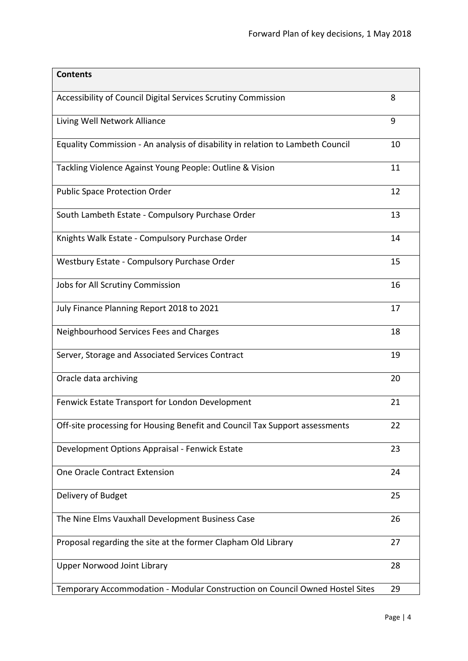| <b>Contents</b>                                                                |    |
|--------------------------------------------------------------------------------|----|
| Accessibility of Council Digital Services Scrutiny Commission                  | 8  |
| Living Well Network Alliance                                                   | 9  |
| Equality Commission - An analysis of disability in relation to Lambeth Council | 10 |
| Tackling Violence Against Young People: Outline & Vision                       | 11 |
| <b>Public Space Protection Order</b>                                           | 12 |
| South Lambeth Estate - Compulsory Purchase Order                               | 13 |
| Knights Walk Estate - Compulsory Purchase Order                                | 14 |
| Westbury Estate - Compulsory Purchase Order                                    | 15 |
| Jobs for All Scrutiny Commission                                               | 16 |
| July Finance Planning Report 2018 to 2021                                      | 17 |
| Neighbourhood Services Fees and Charges                                        | 18 |
| Server, Storage and Associated Services Contract                               | 19 |
| Oracle data archiving                                                          | 20 |
| Fenwick Estate Transport for London Development                                | 21 |
| Off-site processing for Housing Benefit and Council Tax Support assessments    | 22 |
| Development Options Appraisal - Fenwick Estate                                 | 23 |
| One Oracle Contract Extension                                                  | 24 |
| Delivery of Budget                                                             | 25 |
| The Nine Elms Vauxhall Development Business Case                               | 26 |
| Proposal regarding the site at the former Clapham Old Library                  | 27 |
| <b>Upper Norwood Joint Library</b>                                             | 28 |
| Temporary Accommodation - Modular Construction on Council Owned Hostel Sites   | 29 |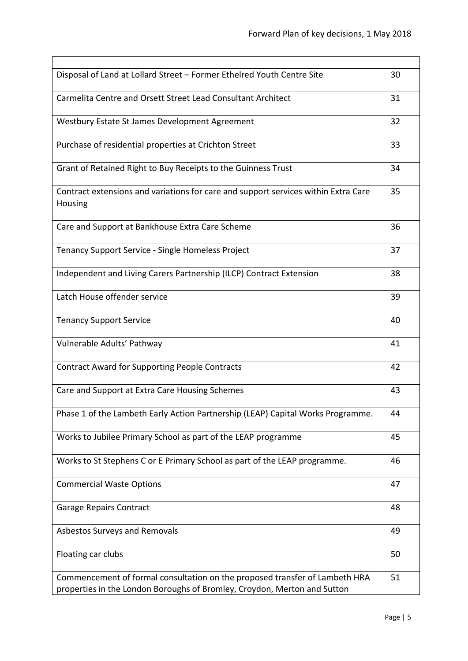| Disposal of Land at Lollard Street - Former Ethelred Youth Centre Site                                                                                  | 30 |
|---------------------------------------------------------------------------------------------------------------------------------------------------------|----|
| Carmelita Centre and Orsett Street Lead Consultant Architect                                                                                            | 31 |
| Westbury Estate St James Development Agreement                                                                                                          | 32 |
| Purchase of residential properties at Crichton Street                                                                                                   | 33 |
| Grant of Retained Right to Buy Receipts to the Guinness Trust                                                                                           | 34 |
| Contract extensions and variations for care and support services within Extra Care<br>Housing                                                           | 35 |
| Care and Support at Bankhouse Extra Care Scheme                                                                                                         | 36 |
| Tenancy Support Service - Single Homeless Project                                                                                                       | 37 |
| Independent and Living Carers Partnership (ILCP) Contract Extension                                                                                     | 38 |
| Latch House offender service                                                                                                                            | 39 |
| <b>Tenancy Support Service</b>                                                                                                                          | 40 |
| Vulnerable Adults' Pathway                                                                                                                              | 41 |
| <b>Contract Award for Supporting People Contracts</b>                                                                                                   | 42 |
| Care and Support at Extra Care Housing Schemes                                                                                                          | 43 |
| Phase 1 of the Lambeth Early Action Partnership (LEAP) Capital Works Programme.                                                                         | 44 |
| Works to Jubilee Primary School as part of the LEAP programme                                                                                           | 45 |
| Works to St Stephens C or E Primary School as part of the LEAP programme.                                                                               | 46 |
| <b>Commercial Waste Options</b>                                                                                                                         | 47 |
| <b>Garage Repairs Contract</b>                                                                                                                          | 48 |
| Asbestos Surveys and Removals                                                                                                                           | 49 |
| Floating car clubs                                                                                                                                      | 50 |
| Commencement of formal consultation on the proposed transfer of Lambeth HRA<br>properties in the London Boroughs of Bromley, Croydon, Merton and Sutton | 51 |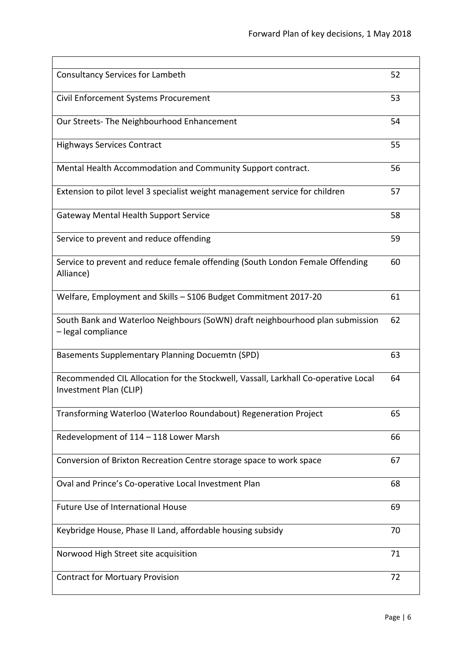| <b>Consultancy Services for Lambeth</b>                                                                      | 52 |
|--------------------------------------------------------------------------------------------------------------|----|
| Civil Enforcement Systems Procurement                                                                        | 53 |
| Our Streets- The Neighbourhood Enhancement                                                                   | 54 |
| <b>Highways Services Contract</b>                                                                            | 55 |
| Mental Health Accommodation and Community Support contract.                                                  | 56 |
| Extension to pilot level 3 specialist weight management service for children                                 | 57 |
| <b>Gateway Mental Health Support Service</b>                                                                 | 58 |
| Service to prevent and reduce offending                                                                      | 59 |
| Service to prevent and reduce female offending (South London Female Offending<br>Alliance)                   | 60 |
| Welfare, Employment and Skills - S106 Budget Commitment 2017-20                                              | 61 |
| South Bank and Waterloo Neighbours (SoWN) draft neighbourhood plan submission<br>- legal compliance          | 62 |
| <b>Basements Supplementary Planning Docuemtn (SPD)</b>                                                       | 63 |
| Recommended CIL Allocation for the Stockwell, Vassall, Larkhall Co-operative Local<br>Investment Plan (CLIP) | 64 |
| Transforming Waterloo (Waterloo Roundabout) Regeneration Project                                             | 65 |
| Redevelopment of 114 - 118 Lower Marsh                                                                       | 66 |
| Conversion of Brixton Recreation Centre storage space to work space                                          | 67 |
| Oval and Prince's Co-operative Local Investment Plan                                                         | 68 |
| <b>Future Use of International House</b>                                                                     | 69 |
| Keybridge House, Phase II Land, affordable housing subsidy                                                   | 70 |
| Norwood High Street site acquisition                                                                         | 71 |
| <b>Contract for Mortuary Provision</b>                                                                       | 72 |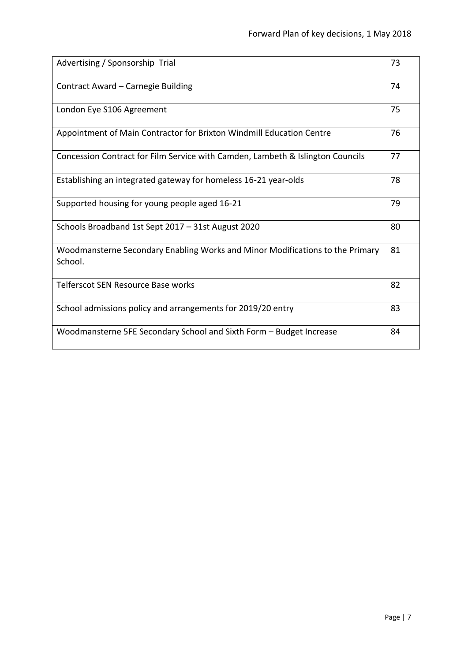| Advertising / Sponsorship Trial                                                          | 73 |
|------------------------------------------------------------------------------------------|----|
| Contract Award - Carnegie Building                                                       | 74 |
| London Eye S106 Agreement                                                                | 75 |
| Appointment of Main Contractor for Brixton Windmill Education Centre                     | 76 |
| Concession Contract for Film Service with Camden, Lambeth & Islington Councils           | 77 |
| Establishing an integrated gateway for homeless 16-21 year-olds                          | 78 |
| Supported housing for young people aged 16-21                                            | 79 |
| Schools Broadband 1st Sept 2017 - 31st August 2020                                       | 80 |
| Woodmansterne Secondary Enabling Works and Minor Modifications to the Primary<br>School. | 81 |
| Telferscot SEN Resource Base works                                                       | 82 |
| School admissions policy and arrangements for 2019/20 entry                              | 83 |
| Woodmansterne 5FE Secondary School and Sixth Form - Budget Increase                      | 84 |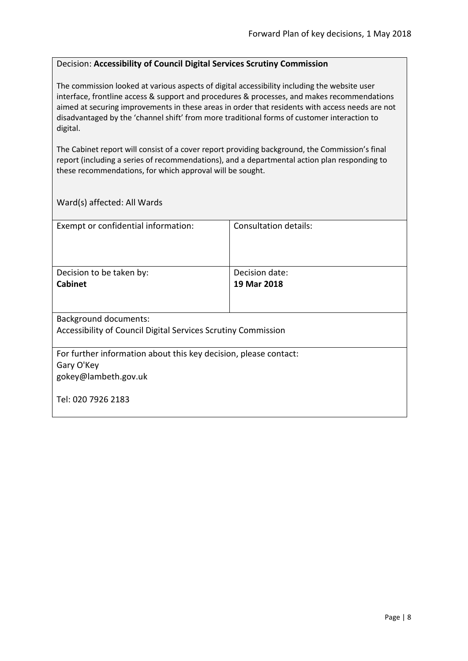#### <span id="page-7-0"></span>Decision: **Accessibility of Council Digital Services Scrutiny Commission**

The commission looked at various aspects of digital accessibility including the website user interface, frontline access & support and procedures & processes, and makes recommendations aimed at securing improvements in these areas in order that residents with access needs are not disadvantaged by the 'channel shift' from more traditional forms of customer interaction to digital.

The Cabinet report will consist of a cover report providing background, the Commission's final report (including a series of recommendations), and a departmental action plan responding to these recommendations, for which approval will be sought.

| Exempt or confidential information:                              | Consultation details: |  |
|------------------------------------------------------------------|-----------------------|--|
|                                                                  |                       |  |
|                                                                  |                       |  |
|                                                                  |                       |  |
| Decision to be taken by:                                         | Decision date:        |  |
| <b>Cabinet</b>                                                   | 19 Mar 2018           |  |
|                                                                  |                       |  |
|                                                                  |                       |  |
| <b>Background documents:</b>                                     |                       |  |
| Accessibility of Council Digital Services Scrutiny Commission    |                       |  |
|                                                                  |                       |  |
| For further information about this key decision, please contact: |                       |  |
| Gary O'Key                                                       |                       |  |
| gokey@lambeth.gov.uk                                             |                       |  |
|                                                                  |                       |  |
| Tel: 020 7926 2183                                               |                       |  |
|                                                                  |                       |  |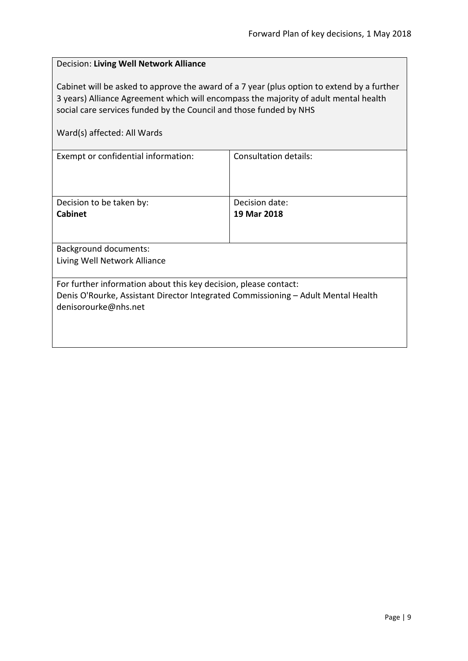# <span id="page-8-0"></span>Decision: **Living Well Network Alliance** Cabinet will be asked to approve the award of a 7 year (plus option to extend by a further 3 years) Alliance Agreement which will encompass the majority of adult mental health social care services funded by the Council and those funded by NHS Ward(s) affected: All Wards Exempt or confidential information: Consultation details: Decision to be taken by: **Cabinet** Decision date: **19 Mar 2018** Background documents: Living Well Network Alliance For further information about this key decision, please contact: Denis O'Rourke, Assistant Director Integrated Commissioning – Adult Mental Health denisorourke@nhs.net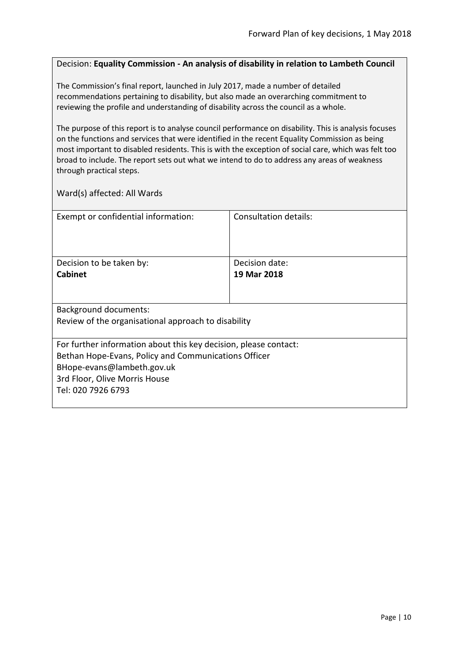#### <span id="page-9-0"></span>Decision: **Equality Commission - An analysis of disability in relation to Lambeth Council**

The Commission's final report, launched in July 2017, made a number of detailed recommendations pertaining to disability, but also made an overarching commitment to reviewing the profile and understanding of disability across the council as a whole.

The purpose of this report is to analyse council performance on disability. This is analysis focuses on the functions and services that were identified in the recent Equality Commission as being most important to disabled residents. This is with the exception of social care, which was felt too broad to include. The report sets out what we intend to do to address any areas of weakness through practical steps.

| Exempt or confidential information:                              | Consultation details: |  |
|------------------------------------------------------------------|-----------------------|--|
|                                                                  |                       |  |
|                                                                  |                       |  |
|                                                                  |                       |  |
|                                                                  |                       |  |
| Decision to be taken by:                                         | Decision date:        |  |
| <b>Cabinet</b>                                                   | 19 Mar 2018           |  |
|                                                                  |                       |  |
|                                                                  |                       |  |
|                                                                  |                       |  |
| <b>Background documents:</b>                                     |                       |  |
| Review of the organisational approach to disability              |                       |  |
|                                                                  |                       |  |
| For further information about this key decision, please contact: |                       |  |
| Bethan Hope-Evans, Policy and Communications Officer             |                       |  |
|                                                                  |                       |  |
| BHope-evans@lambeth.gov.uk                                       |                       |  |
| 3rd Floor, Olive Morris House                                    |                       |  |
| Tel: 020 7926 6793                                               |                       |  |
|                                                                  |                       |  |
|                                                                  |                       |  |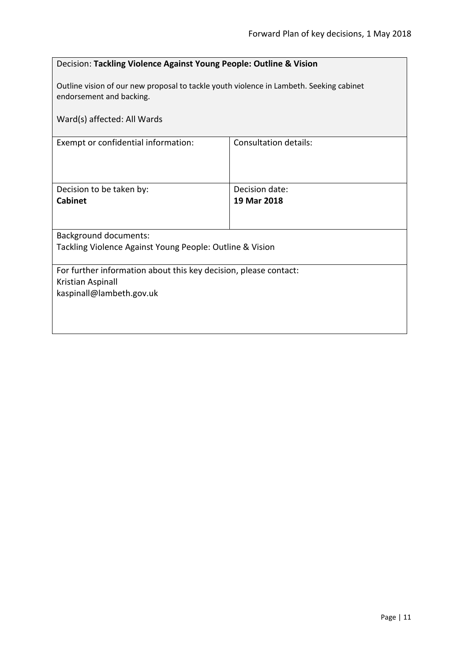<span id="page-10-0"></span>

|                                                                                                                     | Decision: Tackling Violence Against Young People: Outline & Vision |  |
|---------------------------------------------------------------------------------------------------------------------|--------------------------------------------------------------------|--|
| Outline vision of our new proposal to tackle youth violence in Lambeth. Seeking cabinet<br>endorsement and backing. |                                                                    |  |
| Ward(s) affected: All Wards                                                                                         |                                                                    |  |
| <b>Consultation details:</b><br>Exempt or confidential information:                                                 |                                                                    |  |
|                                                                                                                     |                                                                    |  |
| Decision to be taken by:                                                                                            | Decision date:                                                     |  |
| <b>Cabinet</b>                                                                                                      | 19 Mar 2018                                                        |  |
|                                                                                                                     |                                                                    |  |
| <b>Background documents:</b>                                                                                        |                                                                    |  |
| Tackling Violence Against Young People: Outline & Vision                                                            |                                                                    |  |
| For further information about this key decision, please contact:                                                    |                                                                    |  |
| Kristian Aspinall<br>kaspinall@lambeth.gov.uk                                                                       |                                                                    |  |
|                                                                                                                     |                                                                    |  |
|                                                                                                                     |                                                                    |  |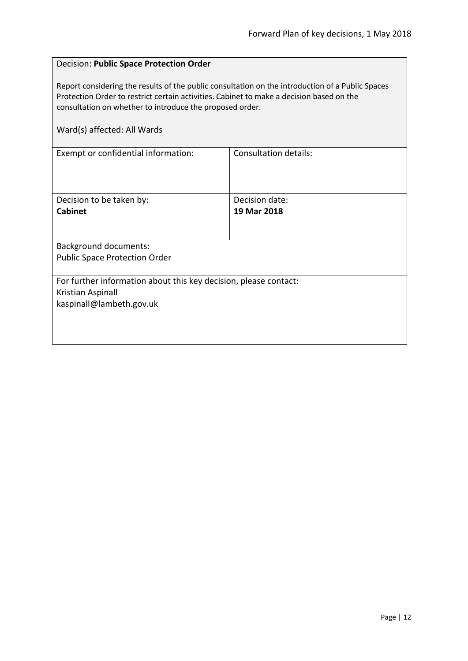#### <span id="page-11-0"></span>Decision: **Public Space Protection Order**

Report considering the results of the public consultation on the introduction of a Public Spaces Protection Order to restrict certain activities. Cabinet to make a decision based on the consultation on whether to introduce the proposed order.

| Exempt or confidential information:                              | Consultation details: |  |
|------------------------------------------------------------------|-----------------------|--|
|                                                                  |                       |  |
|                                                                  |                       |  |
| Decision to be taken by:                                         | Decision date:        |  |
| <b>Cabinet</b>                                                   | 19 Mar 2018           |  |
|                                                                  |                       |  |
|                                                                  |                       |  |
| <b>Background documents:</b>                                     |                       |  |
| <b>Public Space Protection Order</b>                             |                       |  |
|                                                                  |                       |  |
| For further information about this key decision, please contact: |                       |  |
| Kristian Aspinall                                                |                       |  |
| kaspinall@lambeth.gov.uk                                         |                       |  |
|                                                                  |                       |  |
|                                                                  |                       |  |
|                                                                  |                       |  |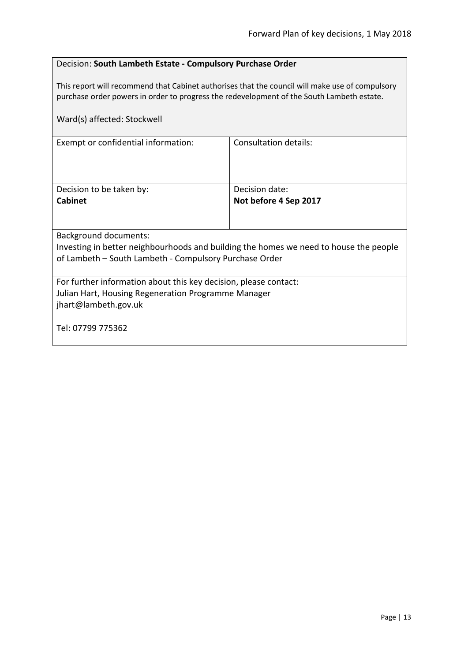#### <span id="page-12-0"></span>Decision: **South Lambeth Estate - Compulsory Purchase Order**

This report will recommend that Cabinet authorises that the council will make use of compulsory purchase order powers in order to progress the redevelopment of the South Lambeth estate.

| Ward(s) affected: Stockwell                                                           |                       |  |
|---------------------------------------------------------------------------------------|-----------------------|--|
| Exempt or confidential information:                                                   | Consultation details: |  |
| Decision to be taken by:                                                              | Decision date:        |  |
| <b>Cabinet</b>                                                                        | Not before 4 Sep 2017 |  |
|                                                                                       |                       |  |
| Background documents:                                                                 |                       |  |
| Investing in better neighbourhoods and building the homes we need to house the people |                       |  |
| of Lambeth – South Lambeth - Compulsory Purchase Order                                |                       |  |
| For further information about this key decision, please contact:                      |                       |  |
| Julian Hart, Housing Regeneration Programme Manager                                   |                       |  |
| jhart@lambeth.gov.uk                                                                  |                       |  |
| Tel: 07799 775362                                                                     |                       |  |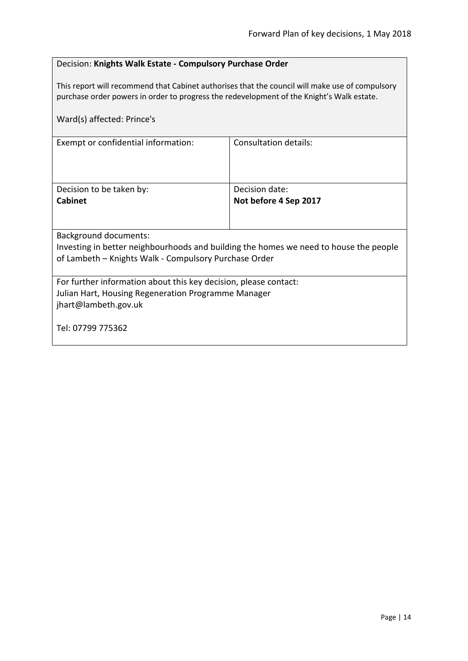#### <span id="page-13-0"></span>Decision: **Knights Walk Estate - Compulsory Purchase Order**

This report will recommend that Cabinet authorises that the council will make use of compulsory purchase order powers in order to progress the redevelopment of the Knight's Walk estate.

| Ward(s) affected: Prince's                                                                                                                                              |                              |  |
|-------------------------------------------------------------------------------------------------------------------------------------------------------------------------|------------------------------|--|
| Exempt or confidential information:                                                                                                                                     | <b>Consultation details:</b> |  |
| Decision to be taken by:                                                                                                                                                | Decision date:               |  |
| <b>Cabinet</b>                                                                                                                                                          | Not before 4 Sep 2017        |  |
|                                                                                                                                                                         |                              |  |
| Background documents:<br>Investing in better neighbourhoods and building the homes we need to house the people<br>of Lambeth - Knights Walk - Compulsory Purchase Order |                              |  |
| For further information about this key decision, please contact:<br>Julian Hart, Housing Regeneration Programme Manager<br>jhart@lambeth.gov.uk                         |                              |  |
| Tel: 07799 775362                                                                                                                                                       |                              |  |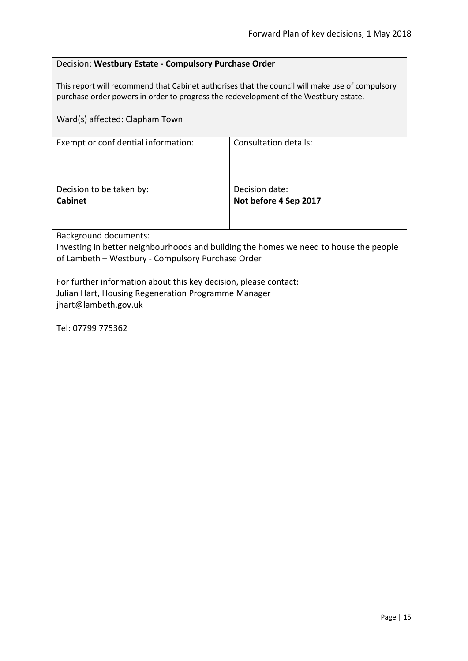#### <span id="page-14-0"></span>Decision: **Westbury Estate - Compulsory Purchase Order**

This report will recommend that Cabinet authorises that the council will make use of compulsory purchase order powers in order to progress the redevelopment of the Westbury estate.

| Ward(s) affected: Clapham Town                                                        |                              |  |
|---------------------------------------------------------------------------------------|------------------------------|--|
| Exempt or confidential information:                                                   | <b>Consultation details:</b> |  |
| Decision to be taken by:                                                              | Decision date:               |  |
| <b>Cabinet</b>                                                                        | Not before 4 Sep 2017        |  |
|                                                                                       |                              |  |
| Background documents:                                                                 |                              |  |
| Investing in better neighbourhoods and building the homes we need to house the people |                              |  |
| of Lambeth - Westbury - Compulsory Purchase Order                                     |                              |  |
| For further information about this key decision, please contact:                      |                              |  |
| Julian Hart, Housing Regeneration Programme Manager                                   |                              |  |
| jhart@lambeth.gov.uk                                                                  |                              |  |
| Tel: 07799 775362                                                                     |                              |  |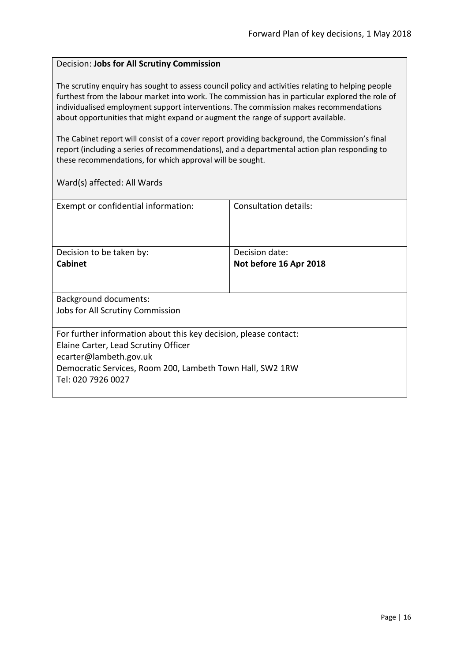#### <span id="page-15-0"></span>Decision: **Jobs for All Scrutiny Commission**

The scrutiny enquiry has sought to assess council policy and activities relating to helping people furthest from the labour market into work. The commission has in particular explored the role of individualised employment support interventions. The commission makes recommendations about opportunities that might expand or augment the range of support available.

The Cabinet report will consist of a cover report providing background, the Commission's final report (including a series of recommendations), and a departmental action plan responding to these recommendations, for which approval will be sought.

| Exempt or confidential information:                              | Consultation details:  |
|------------------------------------------------------------------|------------------------|
| Decision to be taken by:                                         | Decision date:         |
| <b>Cabinet</b>                                                   | Not before 16 Apr 2018 |
|                                                                  |                        |
| Background documents:                                            |                        |
| Jobs for All Scrutiny Commission                                 |                        |
| For further information about this key decision, please contact: |                        |
| Elaine Carter, Lead Scrutiny Officer                             |                        |
| ecarter@lambeth.gov.uk                                           |                        |
| Democratic Services, Room 200, Lambeth Town Hall, SW2 1RW        |                        |
| Tel: 020 7926 0027                                               |                        |
|                                                                  |                        |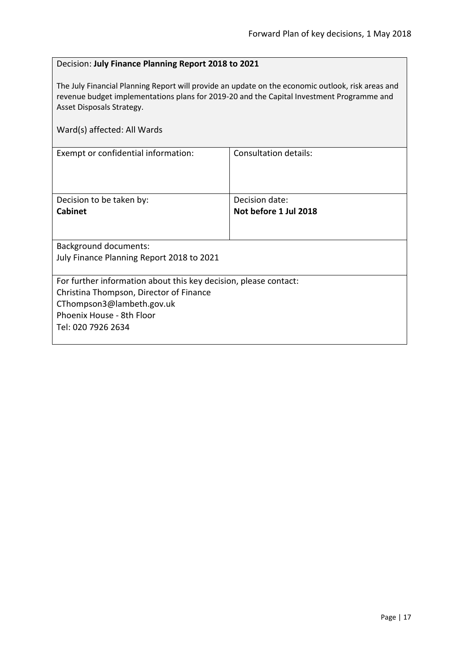#### <span id="page-16-0"></span>Decision: **July Finance Planning Report 2018 to 2021**

The July Financial Planning Report will provide an update on the economic outlook, risk areas and revenue budget implementations plans for 2019-20 and the Capital Investment Programme and Asset Disposals Strategy.

| Ward(s) affected: All Wards                                                                                                                                                                 |                                         |
|---------------------------------------------------------------------------------------------------------------------------------------------------------------------------------------------|-----------------------------------------|
| Exempt or confidential information:                                                                                                                                                         | <b>Consultation details:</b>            |
| Decision to be taken by:<br><b>Cabinet</b>                                                                                                                                                  | Decision date:<br>Not before 1 Jul 2018 |
| <b>Background documents:</b><br>July Finance Planning Report 2018 to 2021                                                                                                                   |                                         |
| For further information about this key decision, please contact:<br>Christina Thompson, Director of Finance<br>CThompson3@lambeth.gov.uk<br>Phoenix House - 8th Floor<br>Tel: 020 7926 2634 |                                         |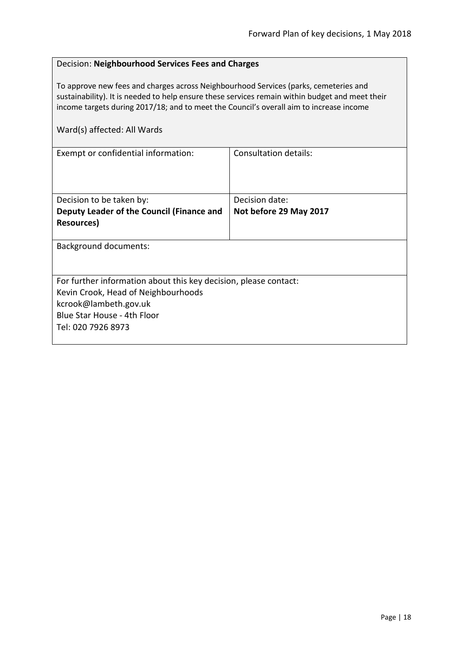#### <span id="page-17-0"></span>Decision: **Neighbourhood Services Fees and Charges**

To approve new fees and charges across Neighbourhood Services (parks, cemeteries and sustainability). It is needed to help ensure these services remain within budget and meet their income targets during 2017/18; and to meet the Council's overall aim to increase income

| Exempt or confidential information:                              | Consultation details:  |
|------------------------------------------------------------------|------------------------|
|                                                                  |                        |
|                                                                  |                        |
|                                                                  |                        |
| Decision to be taken by:                                         | Decision date:         |
| Deputy Leader of the Council (Finance and                        | Not before 29 May 2017 |
| Resources)                                                       |                        |
|                                                                  |                        |
| <b>Background documents:</b>                                     |                        |
|                                                                  |                        |
|                                                                  |                        |
| For further information about this key decision, please contact: |                        |
| Kevin Crook, Head of Neighbourhoods                              |                        |
| kcrook@lambeth.gov.uk                                            |                        |
| Blue Star House - 4th Floor                                      |                        |
| Tel: 020 7926 8973                                               |                        |
|                                                                  |                        |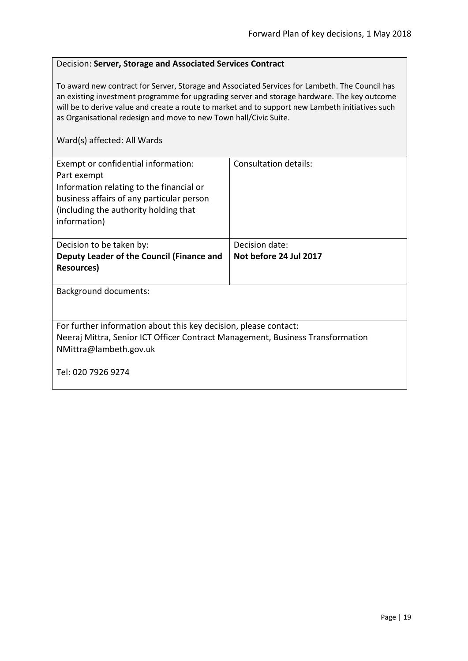#### <span id="page-18-0"></span>Decision: **Server, Storage and Associated Services Contract**

To award new contract for Server, Storage and Associated Services for Lambeth. The Council has an existing investment programme for upgrading server and storage hardware. The key outcome will be to derive value and create a route to market and to support new Lambeth initiatives such as Organisational redesign and move to new Town hall/Civic Suite.

| Exempt or confidential information:<br>Part exempt<br>Information relating to the financial or<br>business affairs of any particular person<br>(including the authority holding that)<br>information) | Consultation details:  |
|-------------------------------------------------------------------------------------------------------------------------------------------------------------------------------------------------------|------------------------|
| Decision to be taken by:                                                                                                                                                                              | Decision date:         |
| Deputy Leader of the Council (Finance and                                                                                                                                                             | Not before 24 Jul 2017 |
| <b>Resources</b> )                                                                                                                                                                                    |                        |
| <b>Background documents:</b>                                                                                                                                                                          |                        |
| For further information about this key decision, please contact:<br>Neeraj Mittra, Senior ICT Officer Contract Management, Business Transformation<br>NMittra@lambeth.gov.uk                          |                        |
| Tel: 020 7926 9274                                                                                                                                                                                    |                        |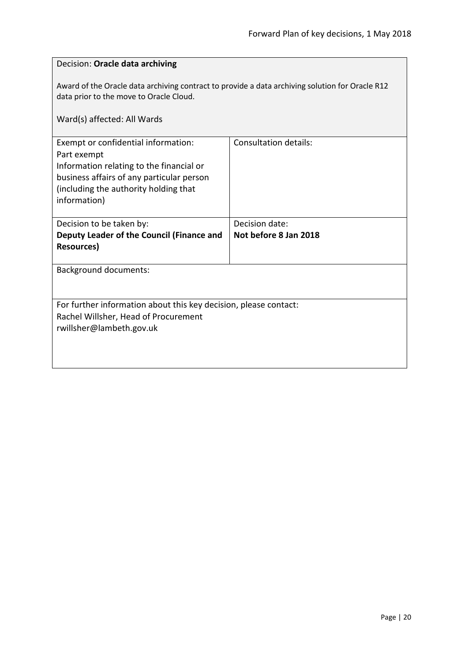<span id="page-19-0"></span>

| Decision: Oracle data archiving                                                                                                                                                                      |                       |  |
|------------------------------------------------------------------------------------------------------------------------------------------------------------------------------------------------------|-----------------------|--|
| Award of the Oracle data archiving contract to provide a data archiving solution for Oracle R12<br>data prior to the move to Oracle Cloud.                                                           |                       |  |
| Ward(s) affected: All Wards                                                                                                                                                                          |                       |  |
| Exempt or confidential information:<br>Part exempt<br>Information relating to the financial or<br>business affairs of any particular person<br>(including the authority holding that<br>information) | Consultation details: |  |
| Decision to be taken by:                                                                                                                                                                             | Decision date:        |  |
| Deputy Leader of the Council (Finance and<br><b>Resources)</b>                                                                                                                                       | Not before 8 Jan 2018 |  |
| Background documents:                                                                                                                                                                                |                       |  |
| For further information about this key decision, please contact:                                                                                                                                     |                       |  |
| Rachel Willsher, Head of Procurement                                                                                                                                                                 |                       |  |
| rwillsher@lambeth.gov.uk                                                                                                                                                                             |                       |  |
|                                                                                                                                                                                                      |                       |  |
|                                                                                                                                                                                                      |                       |  |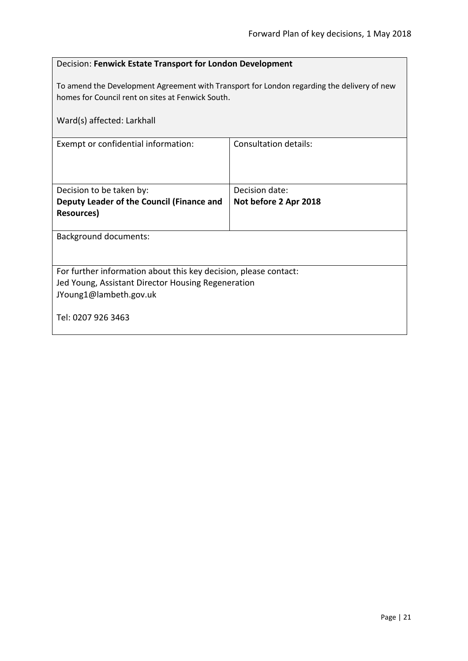<span id="page-20-0"></span>

| Decision: Fenwick Estate Transport for London Development                                                                                       |                              |  |
|-------------------------------------------------------------------------------------------------------------------------------------------------|------------------------------|--|
| To amend the Development Agreement with Transport for London regarding the delivery of new<br>homes for Council rent on sites at Fenwick South. |                              |  |
| Ward(s) affected: Larkhall                                                                                                                      |                              |  |
| Exempt or confidential information:                                                                                                             | <b>Consultation details:</b> |  |
|                                                                                                                                                 |                              |  |
| Decision to be taken by:                                                                                                                        | Decision date:               |  |
| Deputy Leader of the Council (Finance and                                                                                                       | Not before 2 Apr 2018        |  |
| <b>Resources</b> )                                                                                                                              |                              |  |
| <b>Background documents:</b>                                                                                                                    |                              |  |
|                                                                                                                                                 |                              |  |
| For further information about this key decision, please contact:                                                                                |                              |  |
| Jed Young, Assistant Director Housing Regeneration                                                                                              |                              |  |
| JYoung1@lambeth.gov.uk                                                                                                                          |                              |  |
| Tel: 0207 926 3463                                                                                                                              |                              |  |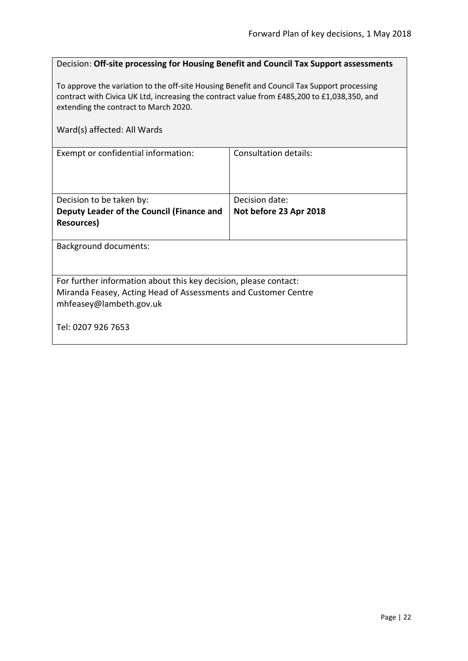<span id="page-21-0"></span>

| Decision: Off-site processing for Housing Benefit and Council Tax Support assessments                                                                                                                                               |                        |
|-------------------------------------------------------------------------------------------------------------------------------------------------------------------------------------------------------------------------------------|------------------------|
| To approve the variation to the off-site Housing Benefit and Council Tax Support processing<br>contract with Civica UK Ltd, increasing the contract value from £485,200 to £1,038,350, and<br>extending the contract to March 2020. |                        |
| Ward(s) affected: All Wards                                                                                                                                                                                                         |                        |
| Exempt or confidential information:                                                                                                                                                                                                 | Consultation details:  |
| Decision to be taken by:                                                                                                                                                                                                            | Decision date:         |
| Deputy Leader of the Council (Finance and<br><b>Resources)</b>                                                                                                                                                                      | Not before 23 Apr 2018 |
| <b>Background documents:</b>                                                                                                                                                                                                        |                        |
| For further information about this key decision, please contact:<br>Miranda Feasey, Acting Head of Assessments and Customer Centre<br>mhfeasey@lambeth.gov.uk                                                                       |                        |
| Tel: 0207 926 7653                                                                                                                                                                                                                  |                        |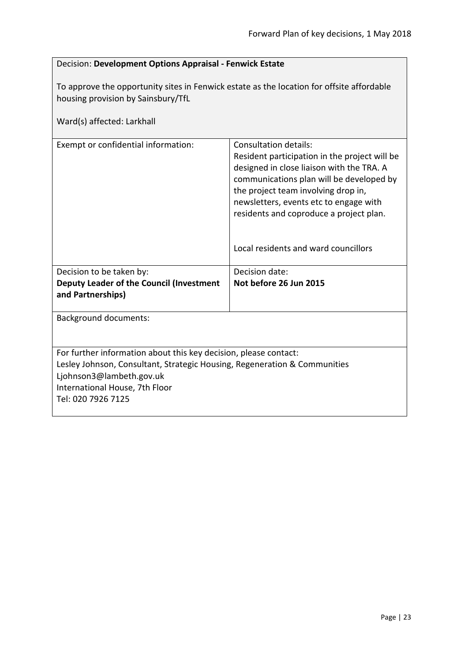## <span id="page-22-0"></span>Decision: **Development Options Appraisal - Fenwick Estate** To approve the opportunity sites in Fenwick estate as the location for offsite affordable housing provision by Sainsbury/TfL Ward(s) affected: Larkhall Exempt or confidential information: Consultation details: Resident participation in the project will be designed in close liaison with the TRA. A communications plan will be developed by the project team involving drop in, newsletters, events etc to engage with residents and coproduce a project plan. Local residents and ward councillors Decision to be taken by: **Deputy Leader of the Council (Investment and Partnerships)** Decision date: **Not before 26 Jun 2015** Background documents: For further information about this key decision, please contact: Lesley Johnson, Consultant, Strategic Housing, Regeneration & Communities Ljohnson3@lambeth.gov.uk International House, 7th Floor Tel: 020 7926 7125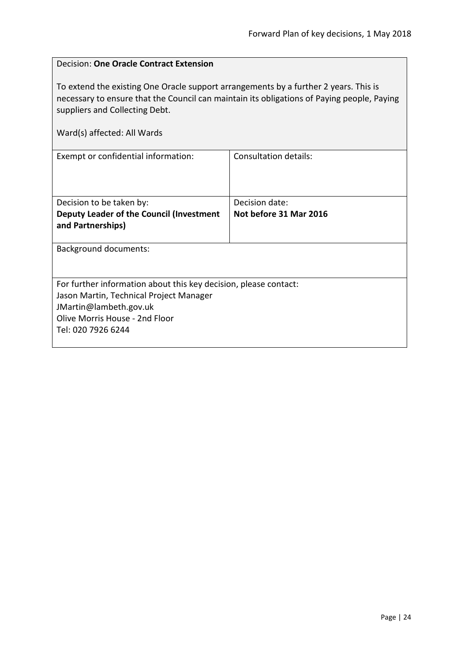$\overline{\phantom{0}}$ 

<span id="page-23-0"></span>

| <b>Decision: One Oracle Contract Extension</b>                                                                                                                                                                                                      |                              |  |
|-----------------------------------------------------------------------------------------------------------------------------------------------------------------------------------------------------------------------------------------------------|------------------------------|--|
| To extend the existing One Oracle support arrangements by a further 2 years. This is<br>necessary to ensure that the Council can maintain its obligations of Paying people, Paying<br>suppliers and Collecting Debt.<br>Ward(s) affected: All Wards |                              |  |
|                                                                                                                                                                                                                                                     |                              |  |
| Exempt or confidential information:                                                                                                                                                                                                                 | <b>Consultation details:</b> |  |
| Decision to be taken by:                                                                                                                                                                                                                            | Decision date:               |  |
| Deputy Leader of the Council (Investment<br>and Partnerships)                                                                                                                                                                                       | Not before 31 Mar 2016       |  |
| Background documents:                                                                                                                                                                                                                               |                              |  |
| For further information about this key decision, please contact:                                                                                                                                                                                    |                              |  |
| Jason Martin, Technical Project Manager                                                                                                                                                                                                             |                              |  |
| JMartin@lambeth.gov.uk                                                                                                                                                                                                                              |                              |  |
| Olive Morris House - 2nd Floor                                                                                                                                                                                                                      |                              |  |
| Tel: 020 7926 6244                                                                                                                                                                                                                                  |                              |  |

 $\mathbf{r}$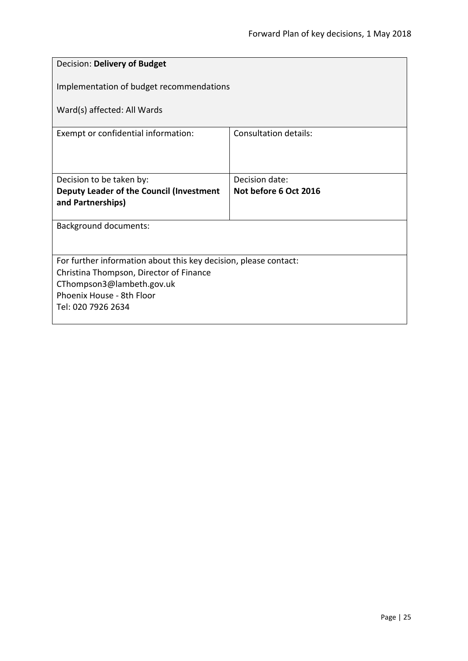<span id="page-24-0"></span>

| Decision: Delivery of Budget                                     |                                         |  |
|------------------------------------------------------------------|-----------------------------------------|--|
| Implementation of budget recommendations                         |                                         |  |
| Ward(s) affected: All Wards                                      |                                         |  |
| Exempt or confidential information:                              | Consultation details:                   |  |
|                                                                  |                                         |  |
| Decision to be taken by:                                         | Decision date:<br>Not before 6 Oct 2016 |  |
| Deputy Leader of the Council (Investment<br>and Partnerships)    |                                         |  |
| <b>Background documents:</b>                                     |                                         |  |
|                                                                  |                                         |  |
| For further information about this key decision, please contact: |                                         |  |
| Christina Thompson, Director of Finance                          |                                         |  |
| CThompson3@lambeth.gov.uk<br>Phoenix House - 8th Floor           |                                         |  |
| Tel: 020 7926 2634                                               |                                         |  |
|                                                                  |                                         |  |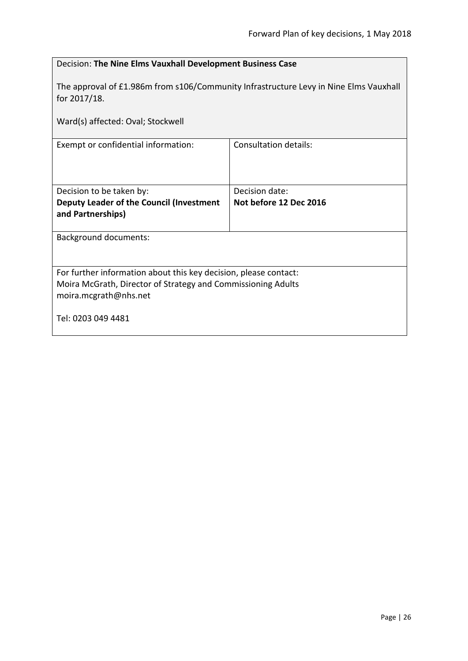<span id="page-25-0"></span>

| Decision: The Nine Elms Vauxhall Development Business Case                                                                                                |                        |  |
|-----------------------------------------------------------------------------------------------------------------------------------------------------------|------------------------|--|
| The approval of £1.986m from s106/Community Infrastructure Levy in Nine Elms Vauxhall<br>for 2017/18.                                                     |                        |  |
| Ward(s) affected: Oval; Stockwell                                                                                                                         |                        |  |
| <b>Consultation details:</b><br>Exempt or confidential information:                                                                                       |                        |  |
|                                                                                                                                                           |                        |  |
| Decision to be taken by:                                                                                                                                  | Decision date:         |  |
| Deputy Leader of the Council (Investment<br>and Partnerships)                                                                                             | Not before 12 Dec 2016 |  |
| <b>Background documents:</b>                                                                                                                              |                        |  |
| For further information about this key decision, please contact:<br>Moira McGrath, Director of Strategy and Commissioning Adults<br>moira.mcgrath@nhs.net |                        |  |
| Tel: 0203 049 4481                                                                                                                                        |                        |  |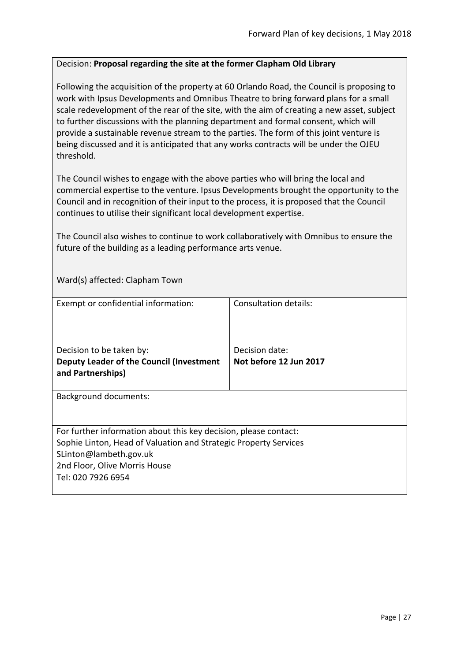#### <span id="page-26-0"></span>Decision: **Proposal regarding the site at the former Clapham Old Library**

Following the acquisition of the property at 60 Orlando Road, the Council is proposing to work with Ipsus Developments and Omnibus Theatre to bring forward plans for a small scale redevelopment of the rear of the site, with the aim of creating a new asset, subject to further discussions with the planning department and formal consent, which will provide a sustainable revenue stream to the parties. The form of this joint venture is being discussed and it is anticipated that any works contracts will be under the OJEU threshold.

The Council wishes to engage with the above parties who will bring the local and commercial expertise to the venture. Ipsus Developments brought the opportunity to the Council and in recognition of their input to the process, it is proposed that the Council continues to utilise their significant local development expertise.

The Council also wishes to continue to work collaboratively with Omnibus to ensure the future of the building as a leading performance arts venue.

Ward(s) affected: Clapham Town

| Exempt or confidential information:                              | Consultation details:  |
|------------------------------------------------------------------|------------------------|
|                                                                  |                        |
|                                                                  |                        |
| Decision to be taken by:                                         | Decision date:         |
| Deputy Leader of the Council (Investment                         | Not before 12 Jun 2017 |
| and Partnerships)                                                |                        |
|                                                                  |                        |
| <b>Background documents:</b>                                     |                        |
|                                                                  |                        |
|                                                                  |                        |
| For further information about this key decision, please contact: |                        |
| Sophie Linton, Head of Valuation and Strategic Property Services |                        |
| SLinton@lambeth.gov.uk                                           |                        |
| 2nd Floor, Olive Morris House                                    |                        |
| Tel: 020 7926 6954                                               |                        |
|                                                                  |                        |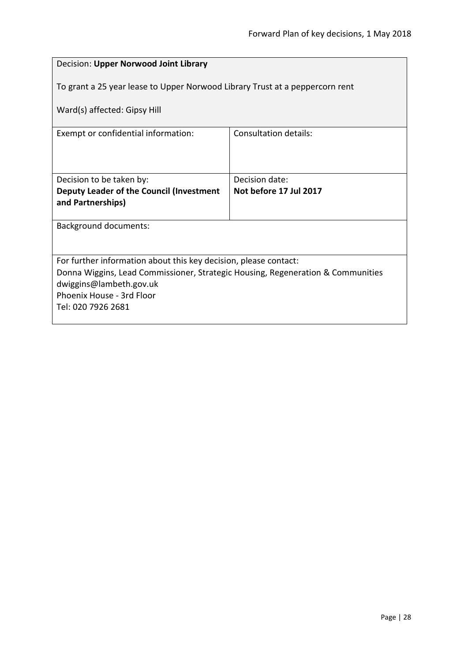<span id="page-27-0"></span>

| Decision: Upper Norwood Joint Library                                                                      |                              |  |
|------------------------------------------------------------------------------------------------------------|------------------------------|--|
| To grant a 25 year lease to Upper Norwood Library Trust at a peppercorn rent                               |                              |  |
| Ward(s) affected: Gipsy Hill                                                                               |                              |  |
| Exempt or confidential information:                                                                        | <b>Consultation details:</b> |  |
|                                                                                                            |                              |  |
| Decision to be taken by:                                                                                   | Decision date:               |  |
| Deputy Leader of the Council (Investment<br>and Partnerships)                                              | Not before 17 Jul 2017       |  |
|                                                                                                            |                              |  |
| <b>Background documents:</b>                                                                               |                              |  |
|                                                                                                            |                              |  |
| For further information about this key decision, please contact:                                           |                              |  |
| Donna Wiggins, Lead Commissioner, Strategic Housing, Regeneration & Communities<br>dwiggins@lambeth.gov.uk |                              |  |
| Phoenix House - 3rd Floor                                                                                  |                              |  |
| Tel: 020 7926 2681                                                                                         |                              |  |
|                                                                                                            |                              |  |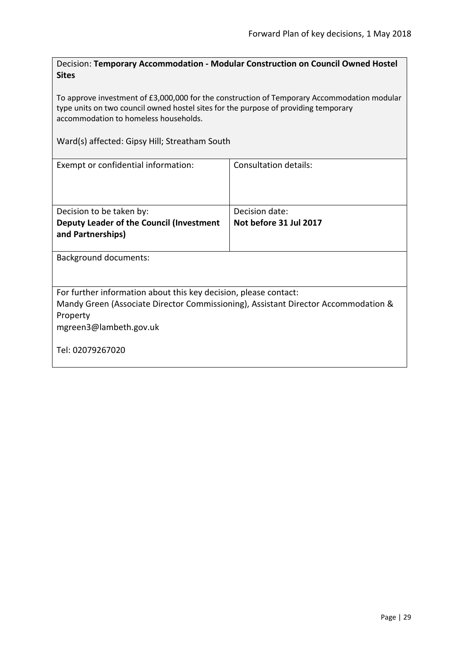<span id="page-28-0"></span>Decision: **Temporary Accommodation - Modular Construction on Council Owned Hostel Sites**

To approve investment of £3,000,000 for the construction of Temporary Accommodation modular type units on two council owned hostel sites for the purpose of providing temporary accommodation to homeless households.

Ward(s) affected: Gipsy Hill; Streatham South

| Exempt or confidential information:                                                                                                                                                                              | Consultation details:                    |
|------------------------------------------------------------------------------------------------------------------------------------------------------------------------------------------------------------------|------------------------------------------|
| Decision to be taken by:<br>Deputy Leader of the Council (Investment<br>and Partnerships)                                                                                                                        | Decision date:<br>Not before 31 Jul 2017 |
| Background documents:                                                                                                                                                                                            |                                          |
| For further information about this key decision, please contact:<br>Mandy Green (Associate Director Commissioning), Assistant Director Accommodation &<br>Property<br>mgreen3@lambeth.gov.uk<br>Tel: 02079267020 |                                          |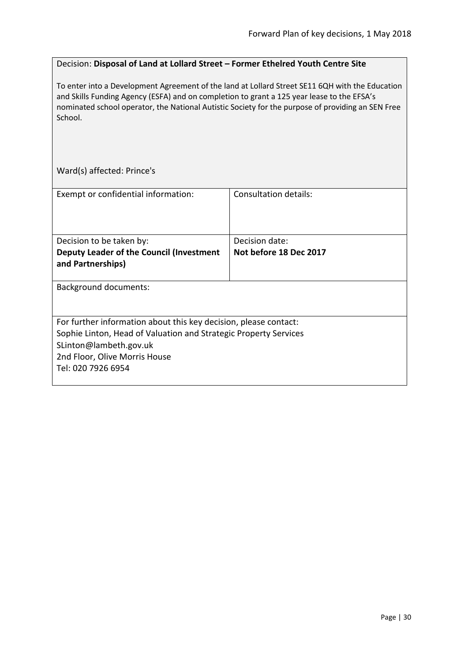### <span id="page-29-0"></span>Decision: **Disposal of Land at Lollard Street – Former Ethelred Youth Centre Site**

To enter into a Development Agreement of the land at Lollard Street SE11 6QH with the Education and Skills Funding Agency (ESFA) and on completion to grant a 125 year lease to the EFSA's nominated school operator, the National Autistic Society for the purpose of providing an SEN Free School.

Ward(s) affected: Prince's

| Exempt or confidential information:                                                                                                                                                                                   | Consultation details:  |
|-----------------------------------------------------------------------------------------------------------------------------------------------------------------------------------------------------------------------|------------------------|
|                                                                                                                                                                                                                       |                        |
| Decision to be taken by:                                                                                                                                                                                              | Decision date:         |
| Deputy Leader of the Council (Investment<br>and Partnerships)                                                                                                                                                         | Not before 18 Dec 2017 |
| <b>Background documents:</b>                                                                                                                                                                                          |                        |
| For further information about this key decision, please contact:<br>Sophie Linton, Head of Valuation and Strategic Property Services<br>SLinton@lambeth.gov.uk<br>2nd Floor, Olive Morris House<br>Tel: 020 7926 6954 |                        |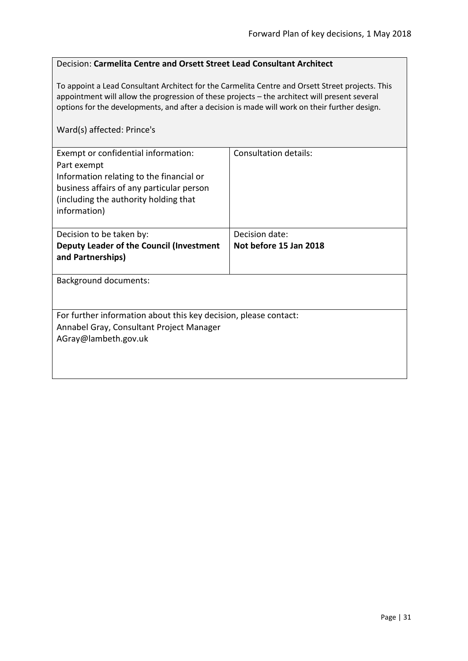#### <span id="page-30-0"></span>Decision: **Carmelita Centre and Orsett Street Lead Consultant Architect**

To appoint a Lead Consultant Architect for the Carmelita Centre and Orsett Street projects. This appointment will allow the progression of these projects – the architect will present several options for the developments, and after a decision is made will work on their further design.

#### Ward(s) affected: Prince's

| Exempt or confidential information:<br>Part exempt<br>Information relating to the financial or<br>business affairs of any particular person<br>(including the authority holding that<br>information) | <b>Consultation details:</b> |  |
|------------------------------------------------------------------------------------------------------------------------------------------------------------------------------------------------------|------------------------------|--|
| Decision to be taken by:                                                                                                                                                                             | Decision date:               |  |
| Deputy Leader of the Council (Investment<br>and Partnerships)                                                                                                                                        | Not before 15 Jan 2018       |  |
| <b>Background documents:</b>                                                                                                                                                                         |                              |  |
| For further information about this key decision, please contact:<br>Annabel Gray, Consultant Project Manager<br>AGray@lambeth.gov.uk                                                                 |                              |  |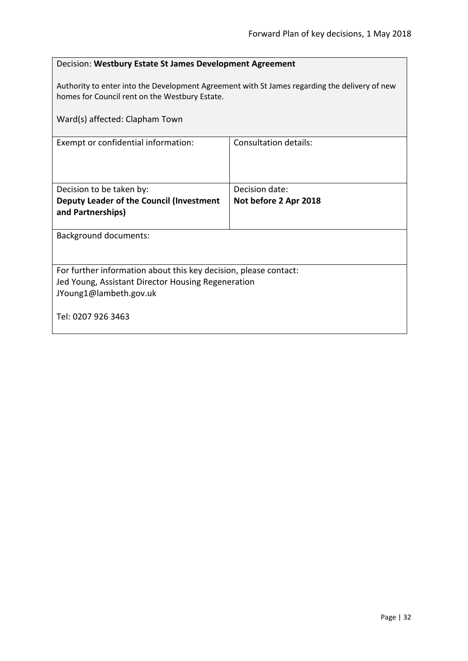<span id="page-31-0"></span>

| Decision: Westbury Estate St James Development Agreement                                                                                        |                       |  |
|-------------------------------------------------------------------------------------------------------------------------------------------------|-----------------------|--|
| Authority to enter into the Development Agreement with St James regarding the delivery of new<br>homes for Council rent on the Westbury Estate. |                       |  |
| Ward(s) affected: Clapham Town                                                                                                                  |                       |  |
| Exempt or confidential information:                                                                                                             | Consultation details: |  |
|                                                                                                                                                 |                       |  |
| Decision to be taken by:                                                                                                                        | Decision date:        |  |
| Deputy Leader of the Council (Investment<br>and Partnerships)                                                                                   | Not before 2 Apr 2018 |  |
| <b>Background documents:</b>                                                                                                                    |                       |  |
|                                                                                                                                                 |                       |  |
| For further information about this key decision, please contact:                                                                                |                       |  |
| Jed Young, Assistant Director Housing Regeneration<br>JYoung1@lambeth.gov.uk                                                                    |                       |  |
|                                                                                                                                                 |                       |  |
| Tel: 0207 926 3463                                                                                                                              |                       |  |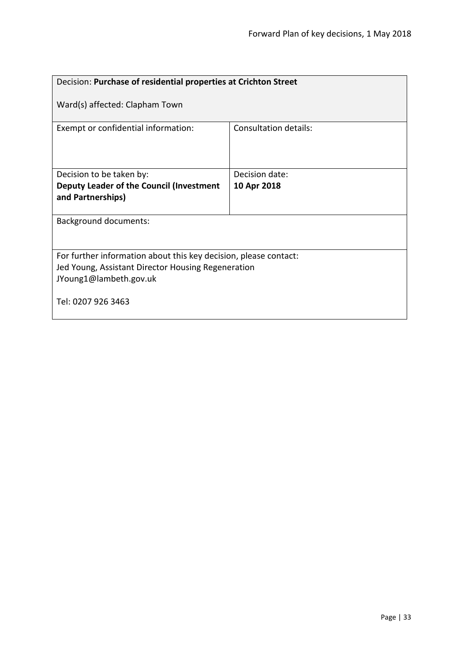<span id="page-32-0"></span>

| Decision: Purchase of residential properties at Crichton Street                                                                                  |                       |  |
|--------------------------------------------------------------------------------------------------------------------------------------------------|-----------------------|--|
| Ward(s) affected: Clapham Town                                                                                                                   |                       |  |
| Exempt or confidential information:                                                                                                              | Consultation details: |  |
| Decision to be taken by:                                                                                                                         | Decision date:        |  |
| Deputy Leader of the Council (Investment<br>and Partnerships)                                                                                    | 10 Apr 2018           |  |
| <b>Background documents:</b>                                                                                                                     |                       |  |
| For further information about this key decision, please contact:<br>Jed Young, Assistant Director Housing Regeneration<br>JYoung1@lambeth.gov.uk |                       |  |
| Tel: 0207 926 3463                                                                                                                               |                       |  |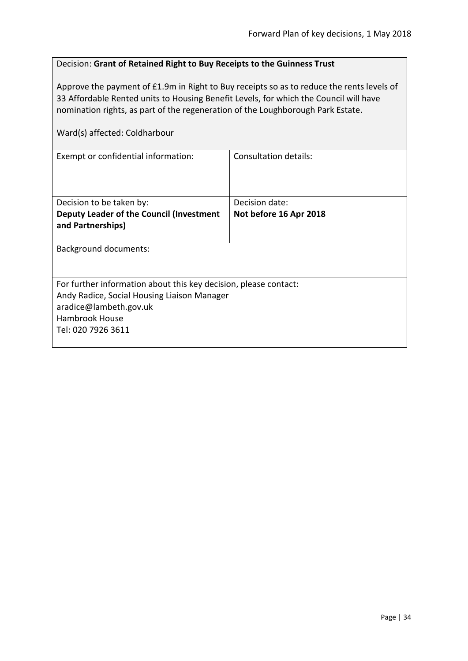<span id="page-33-0"></span>

| Decision: Grant of Retained Right to Buy Receipts to the Guinness Trust                                                                                                                                                                                                                                |                              |  |
|--------------------------------------------------------------------------------------------------------------------------------------------------------------------------------------------------------------------------------------------------------------------------------------------------------|------------------------------|--|
| Approve the payment of £1.9m in Right to Buy receipts so as to reduce the rents levels of<br>33 Affordable Rented units to Housing Benefit Levels, for which the Council will have<br>nomination rights, as part of the regeneration of the Loughborough Park Estate.<br>Ward(s) affected: Coldharbour |                              |  |
| Exempt or confidential information:                                                                                                                                                                                                                                                                    | <b>Consultation details:</b> |  |
| Decision to be taken by:                                                                                                                                                                                                                                                                               | Decision date:               |  |
| Deputy Leader of the Council (Investment<br>and Partnerships)                                                                                                                                                                                                                                          | Not before 16 Apr 2018       |  |
| <b>Background documents:</b>                                                                                                                                                                                                                                                                           |                              |  |
| For further information about this key decision, please contact:<br>Andy Radice, Social Housing Liaison Manager<br>aradice@lambeth.gov.uk<br>Hambrook House<br>Tel: 020 7926 3611                                                                                                                      |                              |  |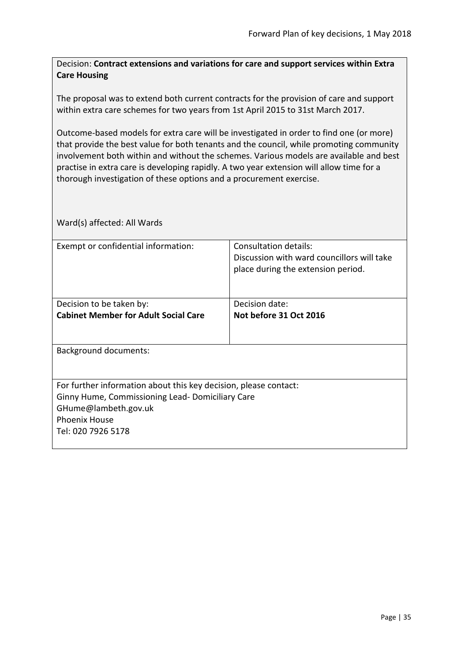<span id="page-34-0"></span>Decision: **Contract extensions and variations for care and support services within Extra Care Housing**

The proposal was to extend both current contracts for the provision of care and support within extra care schemes for two years from 1st April 2015 to 31st March 2017.

Outcome-based models for extra care will be investigated in order to find one (or more) that provide the best value for both tenants and the council, while promoting community involvement both within and without the schemes. Various models are available and best practise in extra care is developing rapidly. A two year extension will allow time for a thorough investigation of these options and a procurement exercise.

| Exempt or confidential information:                              | Consultation details:                      |  |
|------------------------------------------------------------------|--------------------------------------------|--|
|                                                                  | Discussion with ward councillors will take |  |
|                                                                  | place during the extension period.         |  |
|                                                                  |                                            |  |
|                                                                  |                                            |  |
| Decision to be taken by:                                         | Decision date:                             |  |
| <b>Cabinet Member for Adult Social Care</b>                      | Not before 31 Oct 2016                     |  |
|                                                                  |                                            |  |
|                                                                  |                                            |  |
| <b>Background documents:</b>                                     |                                            |  |
|                                                                  |                                            |  |
|                                                                  |                                            |  |
| For further information about this key decision, please contact: |                                            |  |
| Ginny Hume, Commissioning Lead- Domiciliary Care                 |                                            |  |
| GHume@lambeth.gov.uk                                             |                                            |  |
|                                                                  |                                            |  |
| <b>Phoenix House</b>                                             |                                            |  |
| Tel: 020 7926 5178                                               |                                            |  |
|                                                                  |                                            |  |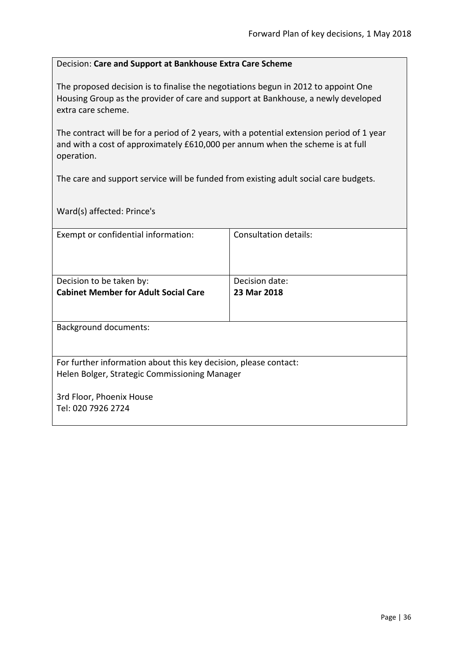#### <span id="page-35-0"></span>Decision: **Care and Support at Bankhouse Extra Care Scheme**

The proposed decision is to finalise the negotiations begun in 2012 to appoint One Housing Group as the provider of care and support at Bankhouse, a newly developed extra care scheme.

The contract will be for a period of 2 years, with a potential extension period of 1 year and with a cost of approximately £610,000 per annum when the scheme is at full operation.

The care and support service will be funded from existing adult social care budgets.

Ward(s) affected: Prince's

| Exempt or confidential information:                              | <b>Consultation details:</b> |
|------------------------------------------------------------------|------------------------------|
|                                                                  |                              |
|                                                                  |                              |
| Decision to be taken by:                                         | Decision date:               |
| <b>Cabinet Member for Adult Social Care</b>                      | 23 Mar 2018                  |
|                                                                  |                              |
|                                                                  |                              |
| <b>Background documents:</b>                                     |                              |
|                                                                  |                              |
|                                                                  |                              |
| For further information about this key decision, please contact: |                              |
| Helen Bolger, Strategic Commissioning Manager                    |                              |
|                                                                  |                              |
| 3rd Floor, Phoenix House                                         |                              |
| Tel: 020 7926 2724                                               |                              |
|                                                                  |                              |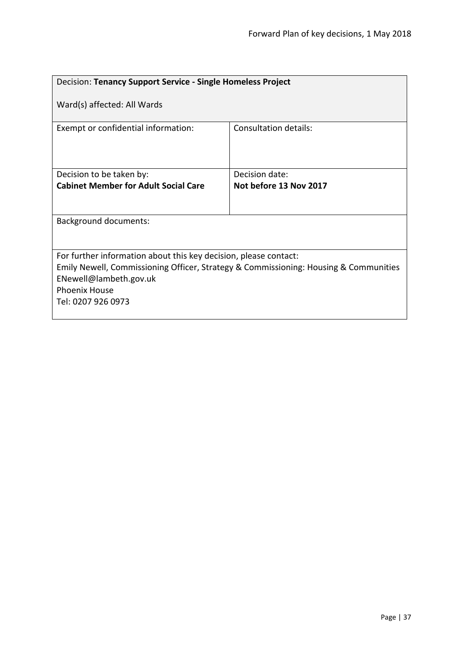| Decision: Tenancy Support Service - Single Homeless Project                                                                                                                                                                      |                        |  |
|----------------------------------------------------------------------------------------------------------------------------------------------------------------------------------------------------------------------------------|------------------------|--|
| Ward(s) affected: All Wards                                                                                                                                                                                                      |                        |  |
| Exempt or confidential information:                                                                                                                                                                                              | Consultation details:  |  |
| Decision to be taken by:                                                                                                                                                                                                         | Decision date:         |  |
| <b>Cabinet Member for Adult Social Care</b>                                                                                                                                                                                      | Not before 13 Nov 2017 |  |
|                                                                                                                                                                                                                                  |                        |  |
| <b>Background documents:</b>                                                                                                                                                                                                     |                        |  |
|                                                                                                                                                                                                                                  |                        |  |
| For further information about this key decision, please contact:<br>Emily Newell, Commissioning Officer, Strategy & Commissioning: Housing & Communities<br>ENewell@lambeth.gov.uk<br><b>Phoenix House</b><br>Tel: 0207 926 0973 |                        |  |
|                                                                                                                                                                                                                                  |                        |  |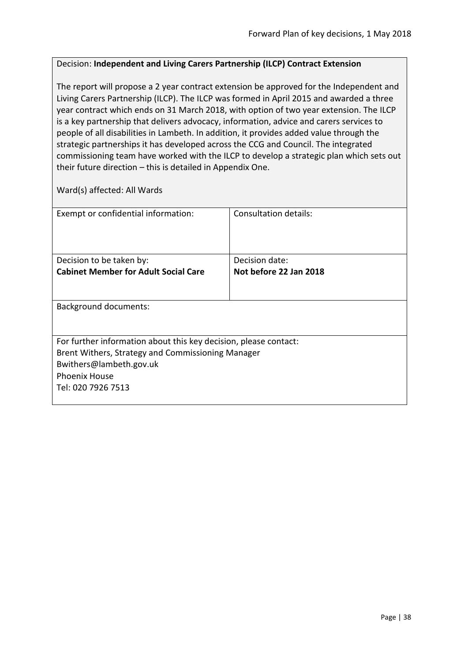## Decision: **Independent and Living Carers Partnership (ILCP) Contract Extension**

The report will propose a 2 year contract extension be approved for the Independent and Living Carers Partnership (ILCP). The ILCP was formed in April 2015 and awarded a three year contract which ends on 31 March 2018, with option of two year extension. The ILCP is a key partnership that delivers advocacy, information, advice and carers services to people of all disabilities in Lambeth. In addition, it provides added value through the strategic partnerships it has developed across the CCG and Council. The integrated commissioning team have worked with the ILCP to develop a strategic plan which sets out their future direction – this is detailed in Appendix One.

| Exempt or confidential information:                              | Consultation details:  |  |
|------------------------------------------------------------------|------------------------|--|
| Decision to be taken by:                                         | Decision date:         |  |
| <b>Cabinet Member for Adult Social Care</b>                      | Not before 22 Jan 2018 |  |
|                                                                  |                        |  |
| <b>Background documents:</b>                                     |                        |  |
|                                                                  |                        |  |
| For further information about this key decision, please contact: |                        |  |
| Brent Withers, Strategy and Commissioning Manager                |                        |  |
| Bwithers@lambeth.gov.uk                                          |                        |  |
| <b>Phoenix House</b>                                             |                        |  |
| Tel: 020 7926 7513                                               |                        |  |
|                                                                  |                        |  |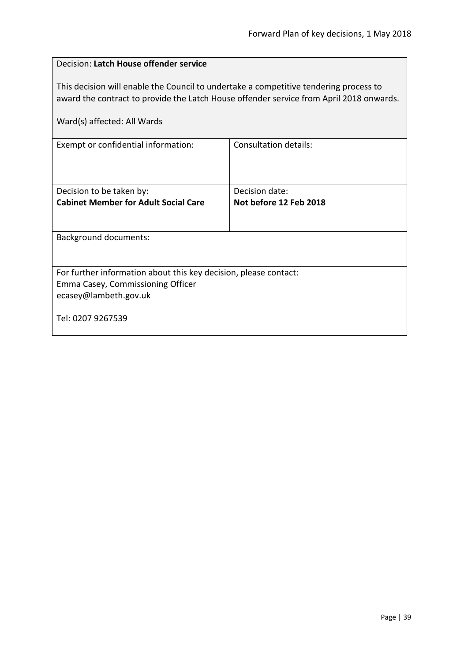| Decision: Latch House offender service                                                                                                                                                                          |                        |  |
|-----------------------------------------------------------------------------------------------------------------------------------------------------------------------------------------------------------------|------------------------|--|
| This decision will enable the Council to undertake a competitive tendering process to<br>award the contract to provide the Latch House offender service from April 2018 onwards.<br>Ward(s) affected: All Wards |                        |  |
| Exempt or confidential information:                                                                                                                                                                             | Consultation details:  |  |
|                                                                                                                                                                                                                 |                        |  |
| Decision to be taken by:                                                                                                                                                                                        | Decision date:         |  |
| <b>Cabinet Member for Adult Social Care</b>                                                                                                                                                                     | Not before 12 Feb 2018 |  |
|                                                                                                                                                                                                                 |                        |  |
| <b>Background documents:</b>                                                                                                                                                                                    |                        |  |
|                                                                                                                                                                                                                 |                        |  |
| For further information about this key decision, please contact:                                                                                                                                                |                        |  |
| Emma Casey, Commissioning Officer                                                                                                                                                                               |                        |  |
| ecasey@lambeth.gov.uk                                                                                                                                                                                           |                        |  |
| Tel: 0207 9267539                                                                                                                                                                                               |                        |  |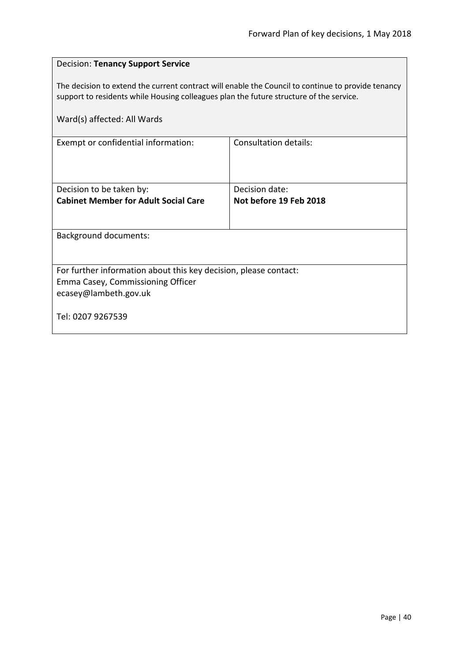| The decision to extend the current contract will enable the Council to continue to provide tenancy<br>support to residents while Housing colleagues plan the future structure of the service. |  |  |
|-----------------------------------------------------------------------------------------------------------------------------------------------------------------------------------------------|--|--|
|                                                                                                                                                                                               |  |  |
|                                                                                                                                                                                               |  |  |
|                                                                                                                                                                                               |  |  |
|                                                                                                                                                                                               |  |  |
|                                                                                                                                                                                               |  |  |
| <b>Background documents:</b>                                                                                                                                                                  |  |  |
| For further information about this key decision, please contact:                                                                                                                              |  |  |
| Emma Casey, Commissioning Officer<br>ecasey@lambeth.gov.uk                                                                                                                                    |  |  |
| Tel: 0207 9267539                                                                                                                                                                             |  |  |
|                                                                                                                                                                                               |  |  |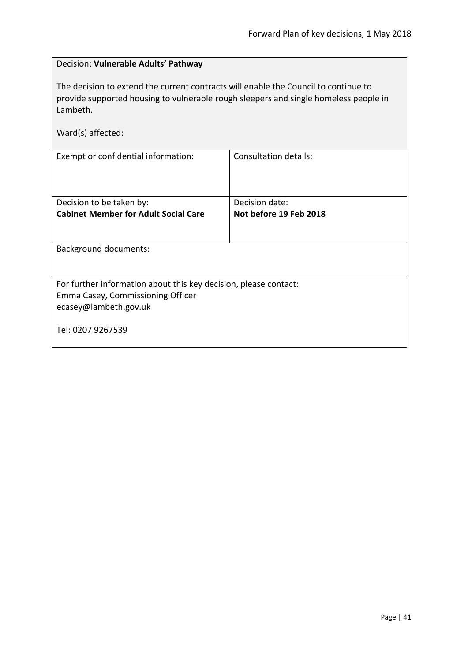| Decision: Vulnerable Adults' Pathway                                                                                                                                                    |                              |  |
|-----------------------------------------------------------------------------------------------------------------------------------------------------------------------------------------|------------------------------|--|
| The decision to extend the current contracts will enable the Council to continue to<br>provide supported housing to vulnerable rough sleepers and single homeless people in<br>Lambeth. |                              |  |
| Ward(s) affected:                                                                                                                                                                       |                              |  |
| Exempt or confidential information:                                                                                                                                                     | <b>Consultation details:</b> |  |
| Decision to be taken by:                                                                                                                                                                | Decision date:               |  |
| <b>Cabinet Member for Adult Social Care</b>                                                                                                                                             | Not before 19 Feb 2018       |  |
| <b>Background documents:</b>                                                                                                                                                            |                              |  |
| For further information about this key decision, please contact:<br>Emma Casey, Commissioning Officer                                                                                   |                              |  |
| ecasey@lambeth.gov.uk                                                                                                                                                                   |                              |  |
| Tel: 0207 9267539                                                                                                                                                                       |                              |  |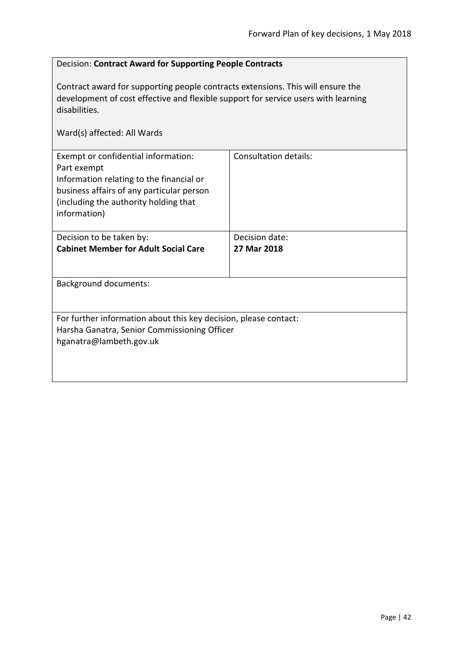# Decision: **Contract Award for Supporting People Contracts** Contract award for supporting people contracts extensions. This will ensure the development of cost effective and flexible support for service users with learning disabilities. Ward(s) affected: All Wards Exempt or confidential information: Part exempt Information relating to the financial or business affairs of any particular person (including the authority holding that information) Consultation details: Decision to be taken by: **Cabinet Member for Adult Social Care** Decision date: **27 Mar 2018** Background documents: For further information about this key decision, please contact: Harsha Ganatra, Senior Commissioning Officer hganatra@lambeth.gov.uk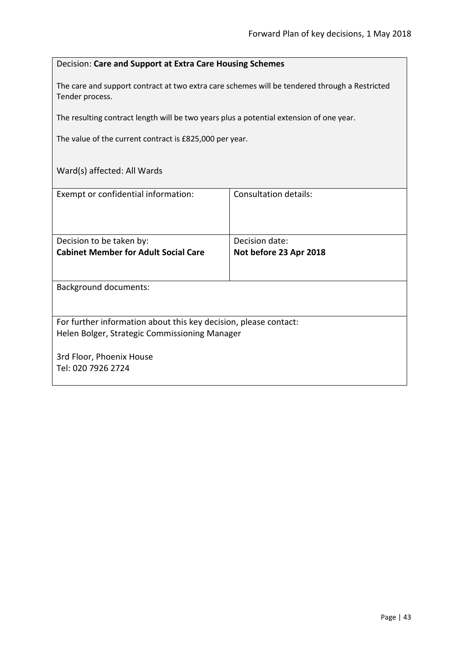## Decision: **Care and Support at Extra Care Housing Schemes**

The care and support contract at two extra care schemes will be tendered through a Restricted Tender process.

The resulting contract length will be two years plus a potential extension of one year.

The value of the current contract is £825,000 per year.

| Exempt or confidential information:                              | Consultation details:  |  |
|------------------------------------------------------------------|------------------------|--|
| Decision to be taken by:                                         | Decision date:         |  |
| <b>Cabinet Member for Adult Social Care</b>                      | Not before 23 Apr 2018 |  |
|                                                                  |                        |  |
| <b>Background documents:</b>                                     |                        |  |
| For further information about this key decision, please contact: |                        |  |
| Helen Bolger, Strategic Commissioning Manager                    |                        |  |
| 3rd Floor, Phoenix House<br>Tel: 020 7926 2724                   |                        |  |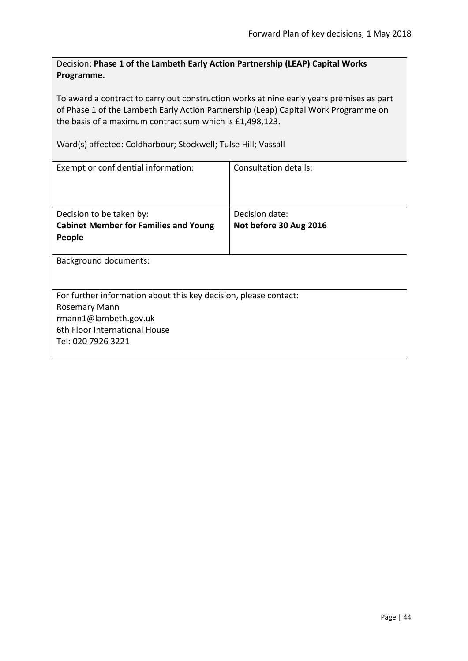Decision: **Phase 1 of the Lambeth Early Action Partnership (LEAP) Capital Works Programme.**

To award a contract to carry out construction works at nine early years premises as part of Phase 1 of the Lambeth Early Action Partnership (Leap) Capital Work Programme on the basis of a maximum contract sum which is £1,498,123.

Ward(s) affected: Coldharbour; Stockwell; Tulse Hill; Vassall

| Exempt or confidential information:                              | Consultation details:  |  |
|------------------------------------------------------------------|------------------------|--|
|                                                                  |                        |  |
|                                                                  |                        |  |
| Decision to be taken by:                                         | Decision date:         |  |
| <b>Cabinet Member for Families and Young</b>                     | Not before 30 Aug 2016 |  |
| People                                                           |                        |  |
|                                                                  |                        |  |
| <b>Background documents:</b>                                     |                        |  |
|                                                                  |                        |  |
|                                                                  |                        |  |
| For further information about this key decision, please contact: |                        |  |
| Rosemary Mann                                                    |                        |  |
| rmann1@lambeth.gov.uk                                            |                        |  |
| 6th Floor International House                                    |                        |  |
| Tel: 020 7926 3221                                               |                        |  |
|                                                                  |                        |  |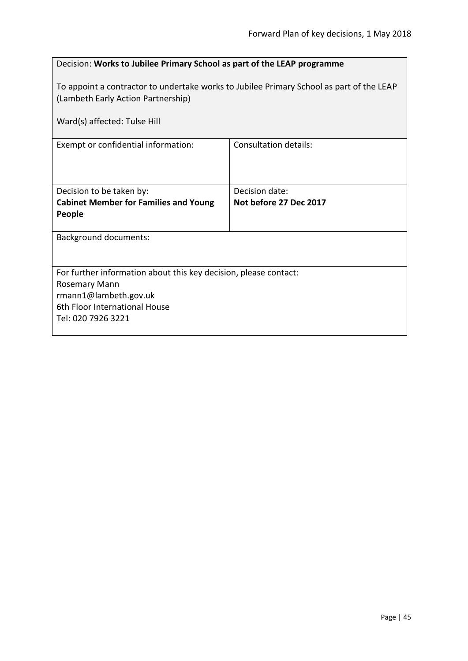| Decision: Works to Jubilee Primary School as part of the LEAP programme                                                                                        |                              |  |
|----------------------------------------------------------------------------------------------------------------------------------------------------------------|------------------------------|--|
| To appoint a contractor to undertake works to Jubilee Primary School as part of the LEAP<br>(Lambeth Early Action Partnership)<br>Ward(s) affected: Tulse Hill |                              |  |
| Exempt or confidential information:                                                                                                                            | <b>Consultation details:</b> |  |
|                                                                                                                                                                |                              |  |
| Decision to be taken by:                                                                                                                                       | Decision date:               |  |
| <b>Cabinet Member for Families and Young</b><br>People                                                                                                         | Not before 27 Dec 2017       |  |
| <b>Background documents:</b>                                                                                                                                   |                              |  |
| For further information about this key decision, please contact:                                                                                               |                              |  |
| Rosemary Mann<br>rmann1@lambeth.gov.uk                                                                                                                         |                              |  |
| 6th Floor International House                                                                                                                                  |                              |  |
| Tel: 020 7926 3221                                                                                                                                             |                              |  |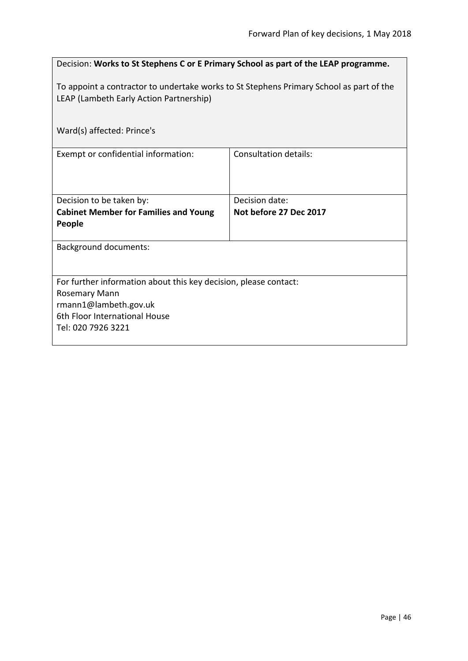| Decision: Works to St Stephens C or E Primary School as part of the LEAP programme.                                                |                              |  |
|------------------------------------------------------------------------------------------------------------------------------------|------------------------------|--|
| To appoint a contractor to undertake works to St Stephens Primary School as part of the<br>LEAP (Lambeth Early Action Partnership) |                              |  |
| Ward(s) affected: Prince's                                                                                                         |                              |  |
| Exempt or confidential information:                                                                                                | <b>Consultation details:</b> |  |
| Decision to be taken by:                                                                                                           | Decision date:               |  |
| <b>Cabinet Member for Families and Young</b><br>People                                                                             | Not before 27 Dec 2017       |  |
| <b>Background documents:</b>                                                                                                       |                              |  |
|                                                                                                                                    |                              |  |
| For further information about this key decision, please contact:                                                                   |                              |  |
| Rosemary Mann                                                                                                                      |                              |  |
| rmann1@lambeth.gov.uk                                                                                                              |                              |  |
| 6th Floor International House                                                                                                      |                              |  |
| Tel: 020 7926 3221                                                                                                                 |                              |  |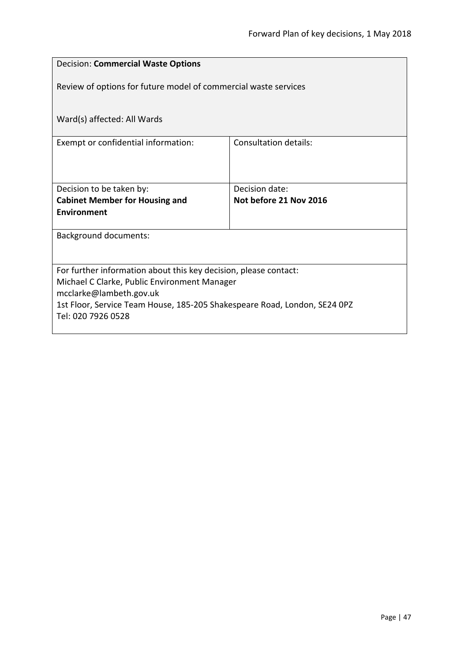| <b>Decision: Commercial Waste Options</b>                                 |                              |  |  |
|---------------------------------------------------------------------------|------------------------------|--|--|
| Review of options for future model of commercial waste services           |                              |  |  |
|                                                                           |                              |  |  |
| Ward(s) affected: All Wards                                               |                              |  |  |
| Exempt or confidential information:                                       | <b>Consultation details:</b> |  |  |
|                                                                           |                              |  |  |
|                                                                           | Decision date:               |  |  |
| Decision to be taken by:<br><b>Cabinet Member for Housing and</b>         | Not before 21 Nov 2016       |  |  |
| <b>Environment</b>                                                        |                              |  |  |
| <b>Background documents:</b>                                              |                              |  |  |
|                                                                           |                              |  |  |
| For further information about this key decision, please contact:          |                              |  |  |
| Michael C Clarke, Public Environment Manager<br>mcclarke@lambeth.gov.uk   |                              |  |  |
| 1st Floor, Service Team House, 185-205 Shakespeare Road, London, SE24 0PZ |                              |  |  |
| Tel: 020 7926 0528                                                        |                              |  |  |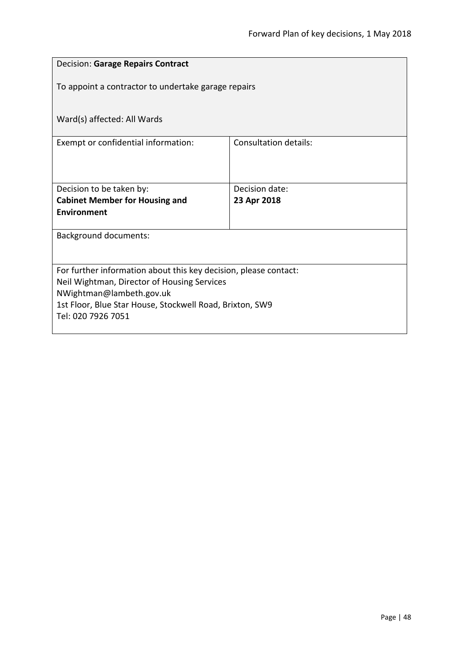| <b>Decision: Garage Repairs Contract</b>                                       |                              |  |
|--------------------------------------------------------------------------------|------------------------------|--|
| To appoint a contractor to undertake garage repairs                            |                              |  |
| Ward(s) affected: All Wards                                                    |                              |  |
| Exempt or confidential information:                                            | <b>Consultation details:</b> |  |
|                                                                                |                              |  |
| Decision to be taken by:                                                       | Decision date:               |  |
| <b>Cabinet Member for Housing and</b>                                          | 23 Apr 2018                  |  |
| <b>Environment</b>                                                             |                              |  |
| <b>Background documents:</b>                                                   |                              |  |
|                                                                                |                              |  |
| For further information about this key decision, please contact:               |                              |  |
| Neil Wightman, Director of Housing Services                                    |                              |  |
| NWightman@lambeth.gov.uk                                                       |                              |  |
| 1st Floor, Blue Star House, Stockwell Road, Brixton, SW9<br>Tel: 020 7926 7051 |                              |  |
|                                                                                |                              |  |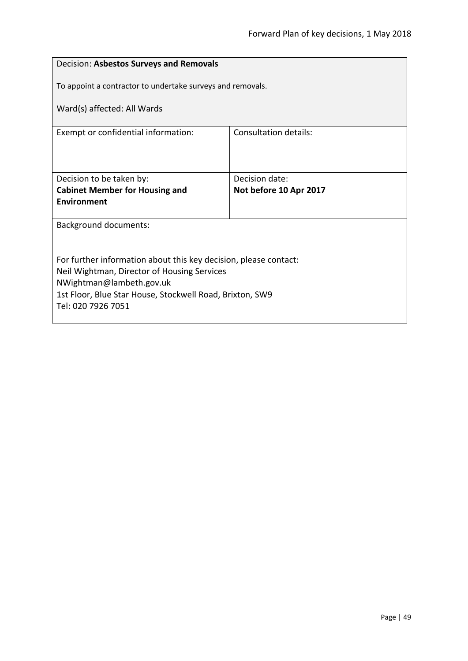| Decision: Asbestos Surveys and Removals                          |                              |  |
|------------------------------------------------------------------|------------------------------|--|
| To appoint a contractor to undertake surveys and removals.       |                              |  |
| Ward(s) affected: All Wards                                      |                              |  |
| Exempt or confidential information:                              | <b>Consultation details:</b> |  |
|                                                                  |                              |  |
| Decision to be taken by:                                         | Decision date:               |  |
| <b>Cabinet Member for Housing and</b>                            | Not before 10 Apr 2017       |  |
| <b>Environment</b>                                               |                              |  |
| <b>Background documents:</b>                                     |                              |  |
|                                                                  |                              |  |
| For further information about this key decision, please contact: |                              |  |
| Neil Wightman, Director of Housing Services                      |                              |  |
| NWightman@lambeth.gov.uk                                         |                              |  |
| 1st Floor, Blue Star House, Stockwell Road, Brixton, SW9         |                              |  |
| Tel: 020 7926 7051                                               |                              |  |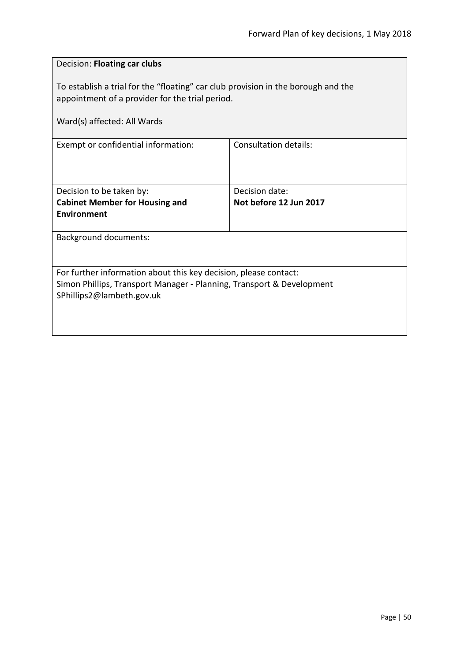| Decision: Floating car clubs                                                                                                                                           |                              |
|------------------------------------------------------------------------------------------------------------------------------------------------------------------------|------------------------------|
| To establish a trial for the "floating" car club provision in the borough and the<br>appointment of a provider for the trial period.                                   |                              |
| Ward(s) affected: All Wards                                                                                                                                            |                              |
| Exempt or confidential information:                                                                                                                                    | <b>Consultation details:</b> |
| Decision to be taken by:                                                                                                                                               | Decision date:               |
| <b>Cabinet Member for Housing and</b><br><b>Environment</b>                                                                                                            | Not before 12 Jun 2017       |
| <b>Background documents:</b>                                                                                                                                           |                              |
| For further information about this key decision, please contact:<br>Simon Phillips, Transport Manager - Planning, Transport & Development<br>SPhillips2@lambeth.gov.uk |                              |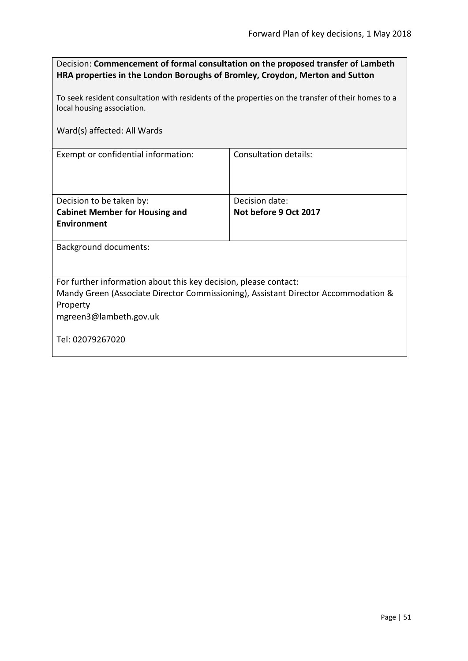| Decision: Commencement of formal consultation on the proposed transfer of Lambeth |
|-----------------------------------------------------------------------------------|
| HRA properties in the London Boroughs of Bromley, Croydon, Merton and Sutton      |

To seek resident consultation with residents of the properties on the transfer of their homes to a local housing association.

Ward(s) affected: All Wards

Exempt or confidential information: Consultation details:

| Decision to be taken by:              | Decision date:        |
|---------------------------------------|-----------------------|
| <b>Cabinet Member for Housing and</b> | Not before 9 Oct 2017 |
| Environment                           |                       |
|                                       |                       |

Background documents:

For further information about this key decision, please contact:

Mandy Green (Associate Director Commissioning), Assistant Director Accommodation & Property

mgreen3@lambeth.gov.uk

Tel: 02079267020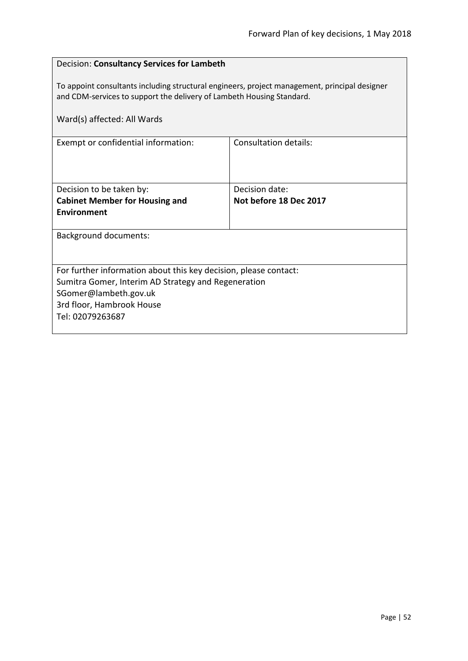# Decision: **Consultancy Services for Lambeth** To appoint consultants including structural engineers, project management, principal designer and CDM-services to support the delivery of Lambeth Housing Standard. Ward(s) affected: All Wards Exempt or confidential information: Consultation details: Decision to be taken by: **Cabinet Member for Housing and Environment** Decision date: **Not before 18 Dec 2017** Background documents: For further information about this key decision, please contact: Sumitra Gomer, Interim AD Strategy and Regeneration SGomer@lambeth.gov.uk 3rd floor, Hambrook House Tel: 02079263687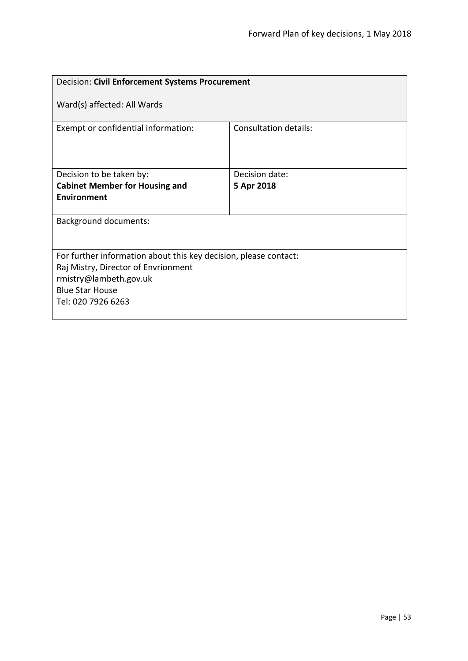| Decision: Civil Enforcement Systems Procurement                                                                                                                                   |                       |
|-----------------------------------------------------------------------------------------------------------------------------------------------------------------------------------|-----------------------|
| Ward(s) affected: All Wards                                                                                                                                                       |                       |
| Exempt or confidential information:                                                                                                                                               | Consultation details: |
| Decision to be taken by:                                                                                                                                                          | Decision date:        |
| <b>Cabinet Member for Housing and</b>                                                                                                                                             | 5 Apr 2018            |
| <b>Environment</b>                                                                                                                                                                |                       |
| <b>Background documents:</b>                                                                                                                                                      |                       |
| For further information about this key decision, please contact:<br>Raj Mistry, Director of Envrionment<br>rmistry@lambeth.gov.uk<br><b>Blue Star House</b><br>Tel: 020 7926 6263 |                       |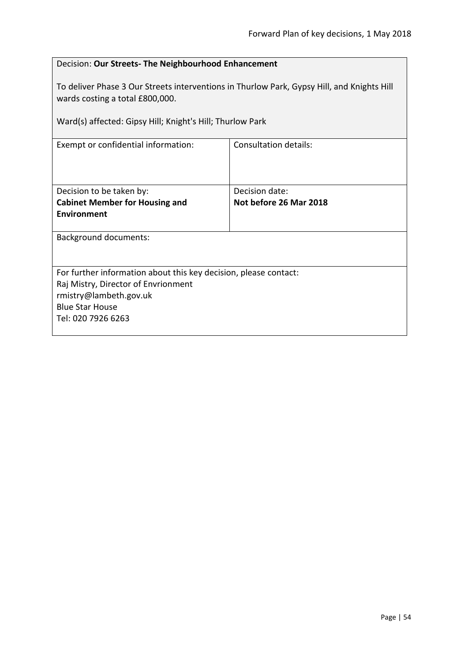| Decision: Our Streets- The Neighbourhood Enhancement                                                                                                                                       |                              |  |
|--------------------------------------------------------------------------------------------------------------------------------------------------------------------------------------------|------------------------------|--|
| To deliver Phase 3 Our Streets interventions in Thurlow Park, Gypsy Hill, and Knights Hill<br>wards costing a total £800,000.<br>Ward(s) affected: Gipsy Hill; Knight's Hill; Thurlow Park |                              |  |
|                                                                                                                                                                                            |                              |  |
| Exempt or confidential information:                                                                                                                                                        | <b>Consultation details:</b> |  |
|                                                                                                                                                                                            |                              |  |
| Decision to be taken by:                                                                                                                                                                   | Decision date:               |  |
| <b>Cabinet Member for Housing and</b>                                                                                                                                                      | Not before 26 Mar 2018       |  |
| Environment                                                                                                                                                                                |                              |  |
| <b>Background documents:</b>                                                                                                                                                               |                              |  |
|                                                                                                                                                                                            |                              |  |
| For further information about this key decision, please contact:                                                                                                                           |                              |  |
| Raj Mistry, Director of Envrionment                                                                                                                                                        |                              |  |
| rmistry@lambeth.gov.uk                                                                                                                                                                     |                              |  |
| <b>Blue Star House</b>                                                                                                                                                                     |                              |  |
| Tel: 020 7926 6263                                                                                                                                                                         |                              |  |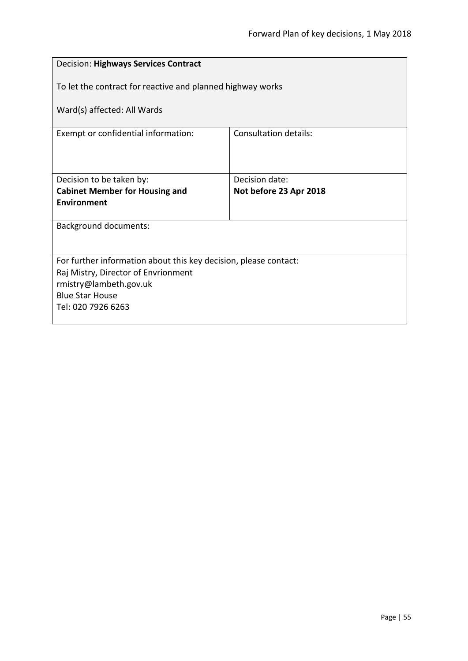| <b>Decision: Highways Services Contract</b>                      |                        |
|------------------------------------------------------------------|------------------------|
| To let the contract for reactive and planned highway works       |                        |
| Ward(s) affected: All Wards                                      |                        |
| Consultation details:<br>Exempt or confidential information:     |                        |
|                                                                  |                        |
| Decision to be taken by:                                         | Decision date:         |
| <b>Cabinet Member for Housing and</b>                            | Not before 23 Apr 2018 |
| <b>Environment</b>                                               |                        |
| <b>Background documents:</b>                                     |                        |
|                                                                  |                        |
| For further information about this key decision, please contact: |                        |
| Raj Mistry, Director of Envrionment                              |                        |
| rmistry@lambeth.gov.uk                                           |                        |
| <b>Blue Star House</b>                                           |                        |
| Tel: 020 7926 6263                                               |                        |
|                                                                  |                        |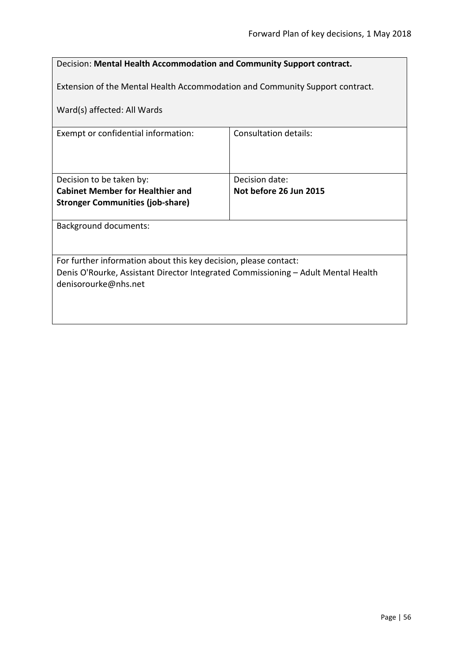| Decision: Mental Health Accommodation and Community Support contract.                                     |                              |
|-----------------------------------------------------------------------------------------------------------|------------------------------|
| Extension of the Mental Health Accommodation and Community Support contract.                              |                              |
| Ward(s) affected: All Wards                                                                               |                              |
| Exempt or confidential information:                                                                       | <b>Consultation details:</b> |
|                                                                                                           |                              |
| Decision to be taken by:                                                                                  | Decision date:               |
| <b>Cabinet Member for Healthier and</b>                                                                   | Not before 26 Jun 2015       |
| <b>Stronger Communities (job-share)</b>                                                                   |                              |
| <b>Background documents:</b>                                                                              |                              |
|                                                                                                           |                              |
| For further information about this key decision, please contact:                                          |                              |
| Denis O'Rourke, Assistant Director Integrated Commissioning - Adult Mental Health<br>denisorourke@nhs.net |                              |
|                                                                                                           |                              |
|                                                                                                           |                              |
|                                                                                                           |                              |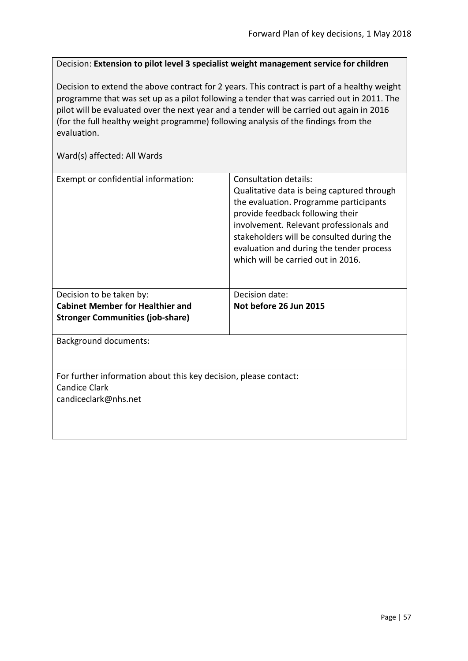Decision: **Extension to pilot level 3 specialist weight management service for children**

Decision to extend the above contract for 2 years. This contract is part of a healthy weight programme that was set up as a pilot following a tender that was carried out in 2011. The pilot will be evaluated over the next year and a tender will be carried out again in 2016 (for the full healthy weight programme) following analysis of the findings from the evaluation.

| Exempt or confidential information:                              | Consultation details:<br>Qualitative data is being captured through<br>the evaluation. Programme participants<br>provide feedback following their<br>involvement. Relevant professionals and<br>stakeholders will be consulted during the<br>evaluation and during the tender process<br>which will be carried out in 2016. |
|------------------------------------------------------------------|-----------------------------------------------------------------------------------------------------------------------------------------------------------------------------------------------------------------------------------------------------------------------------------------------------------------------------|
| Decision to be taken by:                                         | Decision date:                                                                                                                                                                                                                                                                                                              |
| <b>Cabinet Member for Healthier and</b>                          | Not before 26 Jun 2015                                                                                                                                                                                                                                                                                                      |
| <b>Stronger Communities (job-share)</b>                          |                                                                                                                                                                                                                                                                                                                             |
| <b>Background documents:</b>                                     |                                                                                                                                                                                                                                                                                                                             |
| For further information about this key decision, please contact: |                                                                                                                                                                                                                                                                                                                             |
| <b>Candice Clark</b>                                             |                                                                                                                                                                                                                                                                                                                             |
| candiceclark@nhs.net                                             |                                                                                                                                                                                                                                                                                                                             |
|                                                                  |                                                                                                                                                                                                                                                                                                                             |
|                                                                  |                                                                                                                                                                                                                                                                                                                             |
|                                                                  |                                                                                                                                                                                                                                                                                                                             |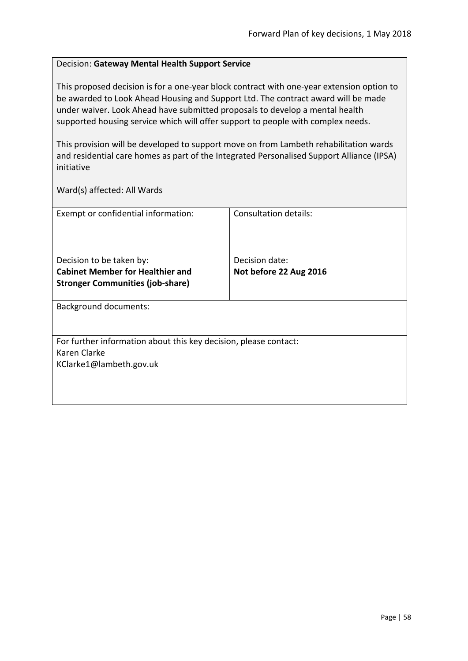### Decision: **Gateway Mental Health Support Service**

This proposed decision is for a one-year block contract with one-year extension option to be awarded to Look Ahead Housing and Support Ltd. The contract award will be made under waiver. Look Ahead have submitted proposals to develop a mental health supported housing service which will offer support to people with complex needs.

This provision will be developed to support move on from Lambeth rehabilitation wards and residential care homes as part of the Integrated Personalised Support Alliance (IPSA) initiative

| Exempt or confidential information:                              | Consultation details:  |
|------------------------------------------------------------------|------------------------|
|                                                                  |                        |
|                                                                  |                        |
|                                                                  |                        |
| Decision to be taken by:                                         | Decision date:         |
| <b>Cabinet Member for Healthier and</b>                          | Not before 22 Aug 2016 |
| <b>Stronger Communities (job-share)</b>                          |                        |
|                                                                  |                        |
| <b>Background documents:</b>                                     |                        |
|                                                                  |                        |
|                                                                  |                        |
| For further information about this key decision, please contact: |                        |
| Karen Clarke                                                     |                        |
| KClarke1@lambeth.gov.uk                                          |                        |
|                                                                  |                        |
|                                                                  |                        |
|                                                                  |                        |
|                                                                  |                        |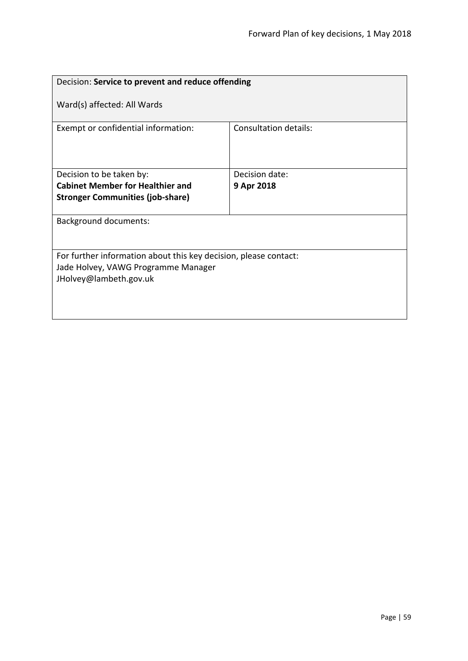| Decision: Service to prevent and reduce offending                |                              |
|------------------------------------------------------------------|------------------------------|
| Ward(s) affected: All Wards                                      |                              |
| Exempt or confidential information:                              | <b>Consultation details:</b> |
| Decision to be taken by:                                         | Decision date:               |
| <b>Cabinet Member for Healthier and</b>                          | 9 Apr 2018                   |
| <b>Stronger Communities (job-share)</b>                          |                              |
| <b>Background documents:</b>                                     |                              |
| For further information about this key decision, please contact: |                              |
| Jade Holvey, VAWG Programme Manager<br>JHolvey@lambeth.gov.uk    |                              |
|                                                                  |                              |
|                                                                  |                              |
|                                                                  |                              |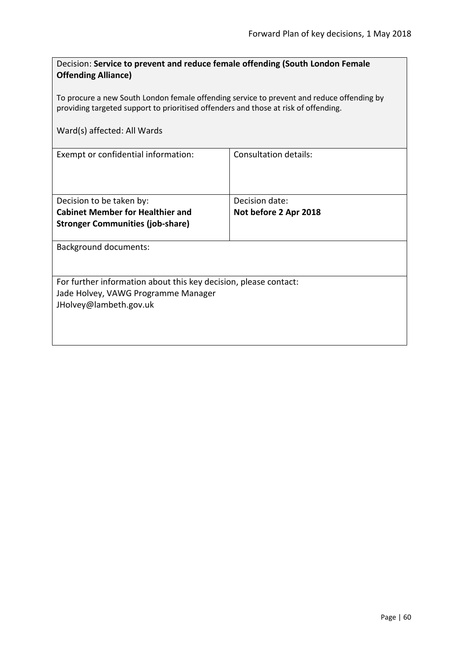| Decision: Service to prevent and reduce female offending (South London Female<br><b>Offending Alliance)</b>                                                                      |  |  |
|----------------------------------------------------------------------------------------------------------------------------------------------------------------------------------|--|--|
| To procure a new South London female offending service to prevent and reduce offending by<br>providing targeted support to prioritised offenders and those at risk of offending. |  |  |
| Ward(s) affected: All Wards                                                                                                                                                      |  |  |
| <b>Consultation details:</b>                                                                                                                                                     |  |  |
| Decision date:                                                                                                                                                                   |  |  |
| Not before 2 Apr 2018                                                                                                                                                            |  |  |
|                                                                                                                                                                                  |  |  |
| <b>Background documents:</b>                                                                                                                                                     |  |  |
| For further information about this key decision, please contact:                                                                                                                 |  |  |
| Jade Holvey, VAWG Programme Manager                                                                                                                                              |  |  |
| JHolvey@lambeth.gov.uk                                                                                                                                                           |  |  |
|                                                                                                                                                                                  |  |  |
|                                                                                                                                                                                  |  |  |
|                                                                                                                                                                                  |  |  |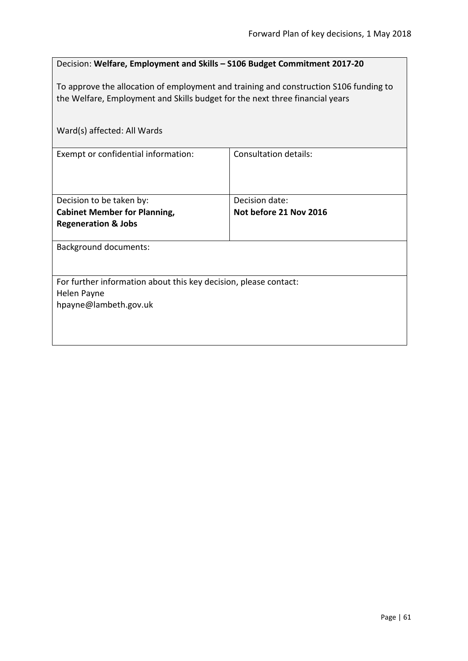| Decision: Welfare, Employment and Skills - S106 Budget Commitment 2017-20                                                                                             |                              |  |
|-----------------------------------------------------------------------------------------------------------------------------------------------------------------------|------------------------------|--|
| To approve the allocation of employment and training and construction S106 funding to<br>the Welfare, Employment and Skills budget for the next three financial years |                              |  |
| Ward(s) affected: All Wards                                                                                                                                           |                              |  |
| Exempt or confidential information:                                                                                                                                   | <b>Consultation details:</b> |  |
| Decision to be taken by:                                                                                                                                              | Decision date:               |  |
| <b>Cabinet Member for Planning,</b>                                                                                                                                   | Not before 21 Nov 2016       |  |
| <b>Regeneration &amp; Jobs</b>                                                                                                                                        |                              |  |
| <b>Background documents:</b>                                                                                                                                          |                              |  |
|                                                                                                                                                                       |                              |  |
| For further information about this key decision, please contact:                                                                                                      |                              |  |
| Helen Payne                                                                                                                                                           |                              |  |
| hpayne@lambeth.gov.uk                                                                                                                                                 |                              |  |
|                                                                                                                                                                       |                              |  |
|                                                                                                                                                                       |                              |  |
|                                                                                                                                                                       |                              |  |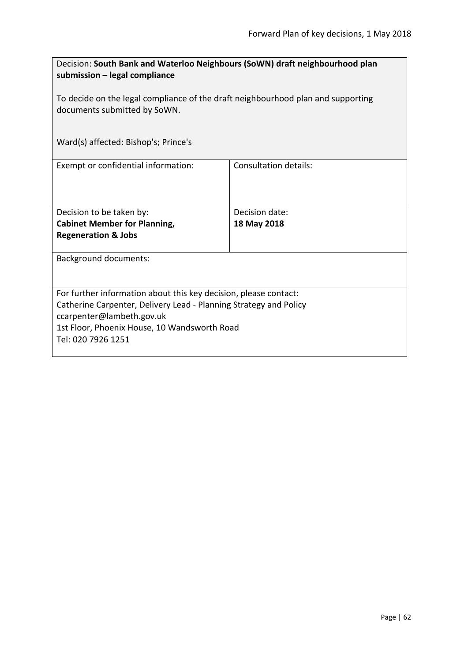| Decision: South Bank and Waterloo Neighbours (SoWN) draft neighbourhood plan<br>submission – legal compliance    |                              |  |
|------------------------------------------------------------------------------------------------------------------|------------------------------|--|
| To decide on the legal compliance of the draft neighbourhood plan and supporting<br>documents submitted by SoWN. |                              |  |
| Ward(s) affected: Bishop's; Prince's                                                                             |                              |  |
| Exempt or confidential information:                                                                              | <b>Consultation details:</b> |  |
| Decision to be taken by:                                                                                         | Decision date:               |  |
| <b>Cabinet Member for Planning,</b>                                                                              | 18 May 2018                  |  |
| <b>Regeneration &amp; Jobs</b>                                                                                   |                              |  |
| <b>Background documents:</b>                                                                                     |                              |  |
| For further information about this key decision, please contact:                                                 |                              |  |
| Catherine Carpenter, Delivery Lead - Planning Strategy and Policy                                                |                              |  |
| ccarpenter@lambeth.gov.uk                                                                                        |                              |  |
| 1st Floor, Phoenix House, 10 Wandsworth Road                                                                     |                              |  |
| Tel: 020 7926 1251                                                                                               |                              |  |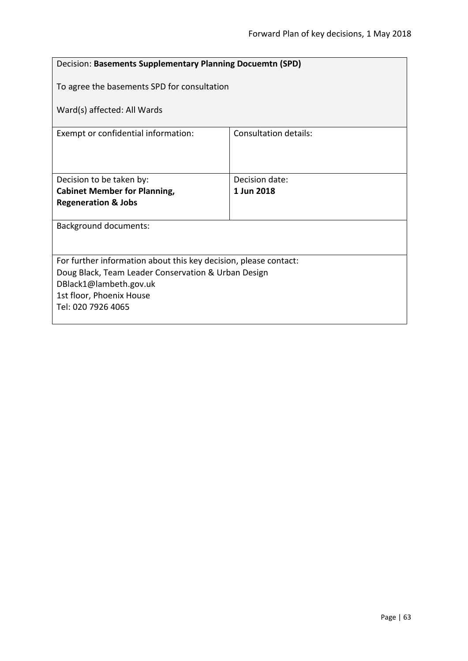| Decision: Basements Supplementary Planning Docuemtn (SPD)        |                              |  |
|------------------------------------------------------------------|------------------------------|--|
| To agree the basements SPD for consultation                      |                              |  |
| Ward(s) affected: All Wards                                      |                              |  |
| Exempt or confidential information:                              | <b>Consultation details:</b> |  |
|                                                                  |                              |  |
| Decision to be taken by:                                         | Decision date:               |  |
| <b>Cabinet Member for Planning,</b>                              | 1 Jun 2018                   |  |
| <b>Regeneration &amp; Jobs</b>                                   |                              |  |
| <b>Background documents:</b>                                     |                              |  |
|                                                                  |                              |  |
| For further information about this key decision, please contact: |                              |  |
| Doug Black, Team Leader Conservation & Urban Design              |                              |  |
| DBlack1@lambeth.gov.uk                                           |                              |  |
| 1st floor, Phoenix House                                         |                              |  |
| Tel: 020 7926 4065                                               |                              |  |
|                                                                  |                              |  |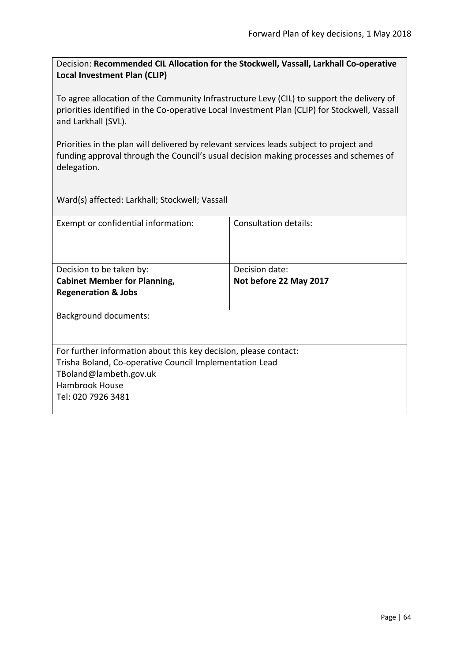Decision: **Recommended CIL Allocation for the Stockwell, Vassall, Larkhall Co-operative Local Investment Plan (CLIP)**

To agree allocation of the Community Infrastructure Levy (CIL) to support the delivery of priorities identified in the Co-operative Local Investment Plan (CLIP) for Stockwell, Vassall and Larkhall (SVL).

Priorities in the plan will delivered by relevant services leads subject to project and funding approval through the Council's usual decision making processes and schemes of delegation.

Ward(s) affected: Larkhall; Stockwell; Vassall

| Exempt or confidential information:                              | Consultation details:  |
|------------------------------------------------------------------|------------------------|
|                                                                  |                        |
| Decision to be taken by:                                         | Decision date:         |
| <b>Cabinet Member for Planning,</b>                              | Not before 22 May 2017 |
| <b>Regeneration &amp; Jobs</b>                                   |                        |
| <b>Background documents:</b>                                     |                        |
| For further information about this key decision, please contact: |                        |
| Trisha Boland, Co-operative Council Implementation Lead          |                        |
| TBoland@lambeth.gov.uk                                           |                        |
| <b>Hambrook House</b>                                            |                        |
| Tel: 020 7926 3481                                               |                        |
|                                                                  |                        |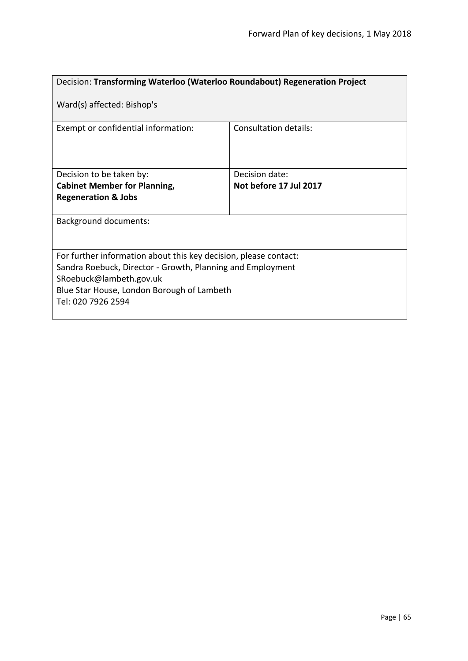| Decision: Transforming Waterloo (Waterloo Roundabout) Regeneration Project                                                                                                                                                    |                              |  |
|-------------------------------------------------------------------------------------------------------------------------------------------------------------------------------------------------------------------------------|------------------------------|--|
| Ward(s) affected: Bishop's                                                                                                                                                                                                    |                              |  |
| Exempt or confidential information:                                                                                                                                                                                           | <b>Consultation details:</b> |  |
| Decision to be taken by:                                                                                                                                                                                                      | Decision date:               |  |
| <b>Cabinet Member for Planning,</b>                                                                                                                                                                                           | Not before 17 Jul 2017       |  |
| <b>Regeneration &amp; Jobs</b>                                                                                                                                                                                                |                              |  |
| Background documents:                                                                                                                                                                                                         |                              |  |
| For further information about this key decision, please contact:<br>Sandra Roebuck, Director - Growth, Planning and Employment<br>SRoebuck@lambeth.gov.uk<br>Blue Star House, London Borough of Lambeth<br>Tel: 020 7926 2594 |                              |  |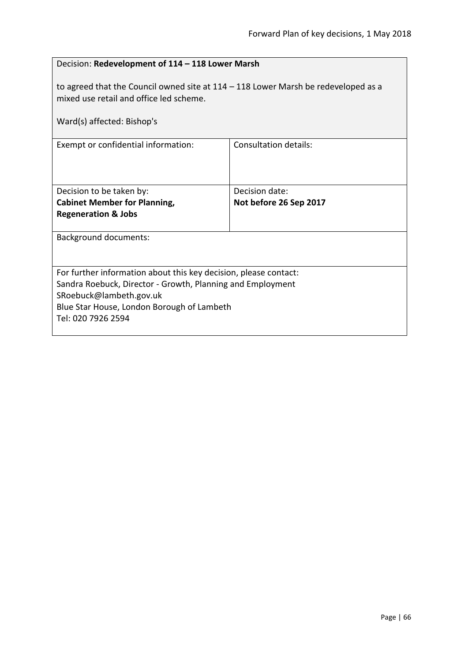| Decision: Redevelopment of 114 - 118 Lower Marsh                                                                                |                              |  |
|---------------------------------------------------------------------------------------------------------------------------------|------------------------------|--|
| to agreed that the Council owned site at $114 - 118$ Lower Marsh be redeveloped as a<br>mixed use retail and office led scheme. |                              |  |
| Ward(s) affected: Bishop's                                                                                                      |                              |  |
| Exempt or confidential information:                                                                                             | <b>Consultation details:</b> |  |
| Decision to be taken by:                                                                                                        | Decision date:               |  |
| <b>Cabinet Member for Planning,</b>                                                                                             | Not before 26 Sep 2017       |  |
| <b>Regeneration &amp; Jobs</b>                                                                                                  |                              |  |
| <b>Background documents:</b>                                                                                                    |                              |  |
| For further information about this key decision, please contact:                                                                |                              |  |
| Sandra Roebuck, Director - Growth, Planning and Employment<br>SRoebuck@lambeth.gov.uk                                           |                              |  |
| Blue Star House, London Borough of Lambeth                                                                                      |                              |  |
| Tel: 020 7926 2594                                                                                                              |                              |  |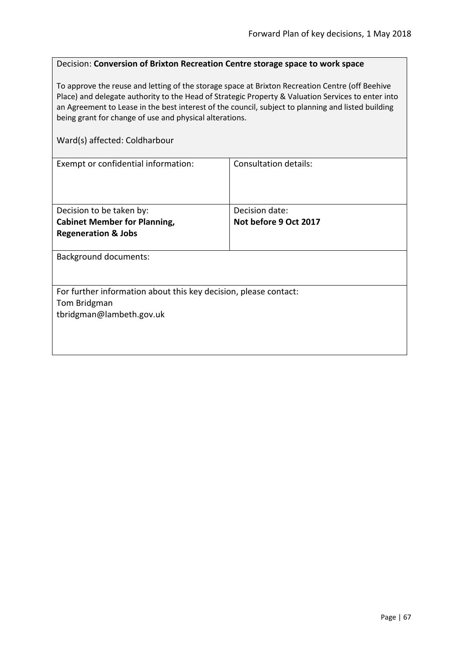#### Decision: **Conversion of Brixton Recreation Centre storage space to work space**

To approve the reuse and letting of the storage space at Brixton Recreation Centre (off Beehive Place) and delegate authority to the Head of Strategic Property & Valuation Services to enter into an Agreement to Lease in the best interest of the council, subject to planning and listed building being grant for change of use and physical alterations.

### Ward(s) affected: Coldharbour

| <b>Background documents:</b>                                     |  |
|------------------------------------------------------------------|--|
|                                                                  |  |
|                                                                  |  |
| For further information about this key decision, please contact: |  |
| Tom Bridgman                                                     |  |
|                                                                  |  |
|                                                                  |  |
|                                                                  |  |
|                                                                  |  |
|                                                                  |  |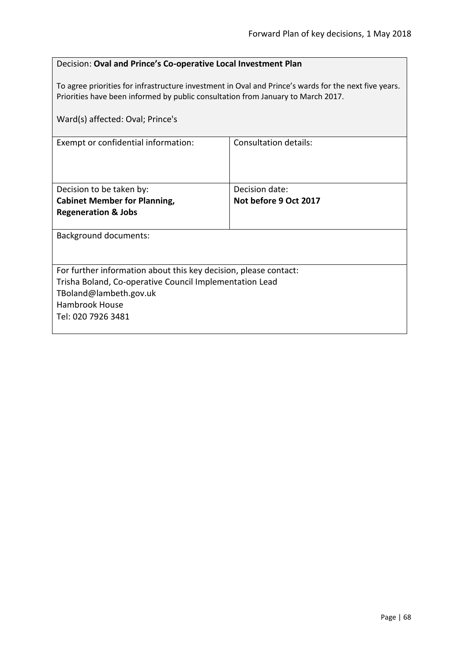| Decision: Oval and Prince's Co-operative Local Investment Plan |
|----------------------------------------------------------------|
|----------------------------------------------------------------|

To agree priorities for infrastructure investment in Oval and Prince's wards for the next five years. Priorities have been informed by public consultation from January to March 2017.

| Ward(s) affected: Oval; Prince's                                 |                       |  |
|------------------------------------------------------------------|-----------------------|--|
| Exempt or confidential information:                              | Consultation details: |  |
| Decision to be taken by:                                         | Decision date:        |  |
| <b>Cabinet Member for Planning,</b>                              | Not before 9 Oct 2017 |  |
| <b>Regeneration &amp; Jobs</b>                                   |                       |  |
| <b>Background documents:</b>                                     |                       |  |
| For further information about this key decision, please contact: |                       |  |
| Trisha Boland, Co-operative Council Implementation Lead          |                       |  |
| TBoland@lambeth.gov.uk                                           |                       |  |
| <b>Hambrook House</b>                                            |                       |  |
| Tel: 020 7926 3481                                               |                       |  |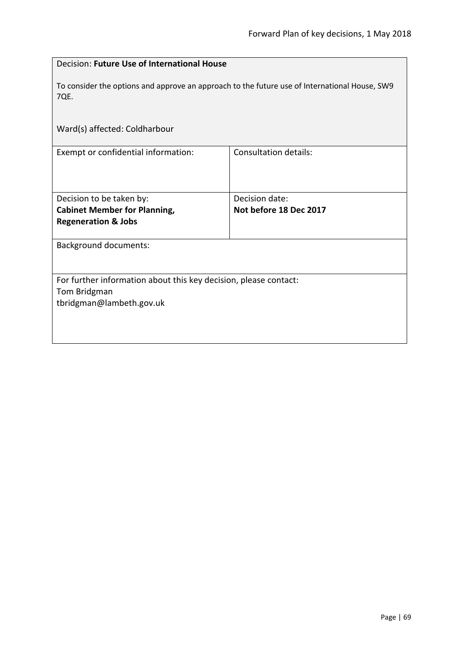| Decision: Future Use of International House                                                                  |                              |  |
|--------------------------------------------------------------------------------------------------------------|------------------------------|--|
| To consider the options and approve an approach to the future use of International House, SW9<br>7QE.        |                              |  |
| Ward(s) affected: Coldharbour                                                                                |                              |  |
| Exempt or confidential information:                                                                          | <b>Consultation details:</b> |  |
| Decision to be taken by:                                                                                     | Decision date:               |  |
| <b>Cabinet Member for Planning,</b>                                                                          | Not before 18 Dec 2017       |  |
| <b>Regeneration &amp; Jobs</b>                                                                               |                              |  |
| <b>Background documents:</b>                                                                                 |                              |  |
| For further information about this key decision, please contact:<br>Tom Bridgman<br>tbridgman@lambeth.gov.uk |                              |  |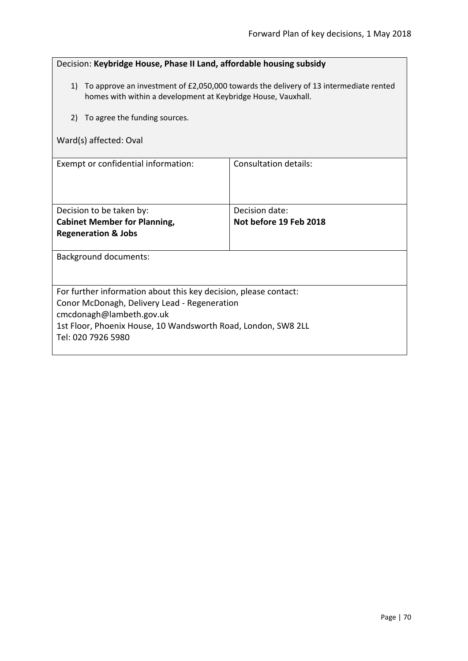| Decision: Keybridge House, Phase II Land, affordable housing subsidy                                                                                         |                       |  |
|--------------------------------------------------------------------------------------------------------------------------------------------------------------|-----------------------|--|
| To approve an investment of £2,050,000 towards the delivery of 13 intermediate rented<br>1)<br>homes with within a development at Keybridge House, Vauxhall. |                       |  |
| To agree the funding sources.<br>2)                                                                                                                          |                       |  |
| Ward(s) affected: Oval                                                                                                                                       |                       |  |
| Exempt or confidential information:                                                                                                                          | Consultation details: |  |
| Decision to be taken by:                                                                                                                                     | Decision date:        |  |
| Not before 19 Feb 2018<br><b>Cabinet Member for Planning,</b>                                                                                                |                       |  |
| <b>Regeneration &amp; Jobs</b>                                                                                                                               |                       |  |
| <b>Background documents:</b>                                                                                                                                 |                       |  |
| For further information about this key decision, please contact:                                                                                             |                       |  |
| Conor McDonagh, Delivery Lead - Regeneration                                                                                                                 |                       |  |
| cmcdonagh@lambeth.gov.uk                                                                                                                                     |                       |  |
| 1st Floor, Phoenix House, 10 Wandsworth Road, London, SW8 2LL<br>Tel: 020 7926 5980                                                                          |                       |  |
|                                                                                                                                                              |                       |  |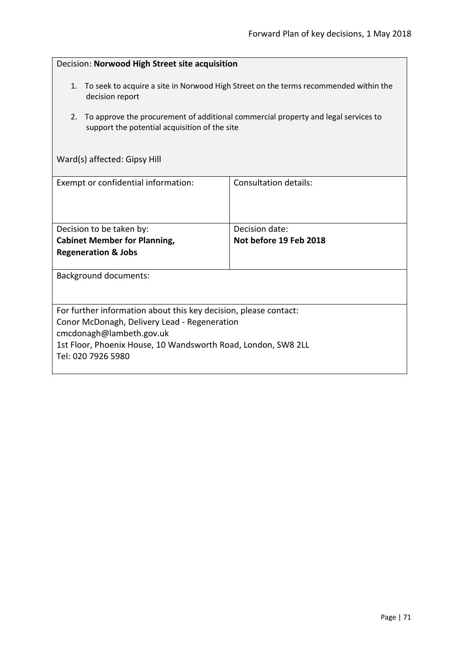| Decision: Norwood High Street site acquisition                                                                                                                                                                                      |                                          |  |
|-------------------------------------------------------------------------------------------------------------------------------------------------------------------------------------------------------------------------------------|------------------------------------------|--|
| 1. To seek to acquire a site in Norwood High Street on the terms recommended within the<br>decision report                                                                                                                          |                                          |  |
| To approve the procurement of additional commercial property and legal services to<br>2.<br>support the potential acquisition of the site                                                                                           |                                          |  |
| Ward(s) affected: Gipsy Hill                                                                                                                                                                                                        |                                          |  |
| Exempt or confidential information:                                                                                                                                                                                                 | <b>Consultation details:</b>             |  |
| Decision to be taken by:<br><b>Cabinet Member for Planning,</b><br><b>Regeneration &amp; Jobs</b>                                                                                                                                   | Decision date:<br>Not before 19 Feb 2018 |  |
| <b>Background documents:</b>                                                                                                                                                                                                        |                                          |  |
| For further information about this key decision, please contact:<br>Conor McDonagh, Delivery Lead - Regeneration<br>cmcdonagh@lambeth.gov.uk<br>1st Floor, Phoenix House, 10 Wandsworth Road, London, SW8 2LL<br>Tel: 020 7926 5980 |                                          |  |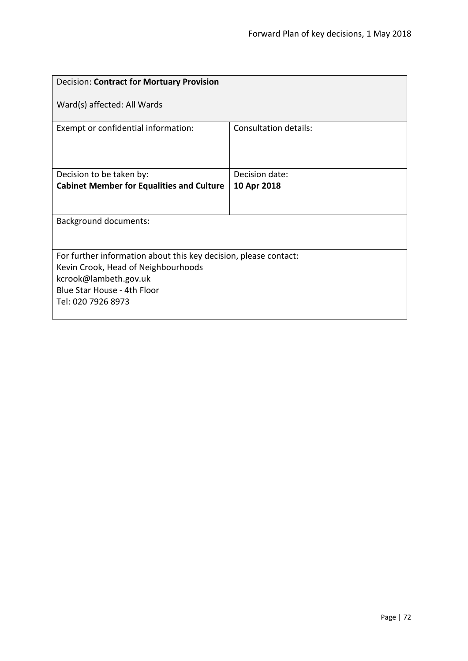| <b>Decision: Contract for Mortuary Provision</b>                                                                                                                                      |                              |
|---------------------------------------------------------------------------------------------------------------------------------------------------------------------------------------|------------------------------|
| Ward(s) affected: All Wards                                                                                                                                                           |                              |
| Exempt or confidential information:                                                                                                                                                   | <b>Consultation details:</b> |
| Decision to be taken by:                                                                                                                                                              | Decision date:               |
| <b>Cabinet Member for Equalities and Culture</b>                                                                                                                                      | 10 Apr 2018                  |
|                                                                                                                                                                                       |                              |
| <b>Background documents:</b>                                                                                                                                                          |                              |
|                                                                                                                                                                                       |                              |
| For further information about this key decision, please contact:<br>Kevin Crook, Head of Neighbourhoods<br>kcrook@lambeth.gov.uk<br>Blue Star House - 4th Floor<br>Tel: 020 7926 8973 |                              |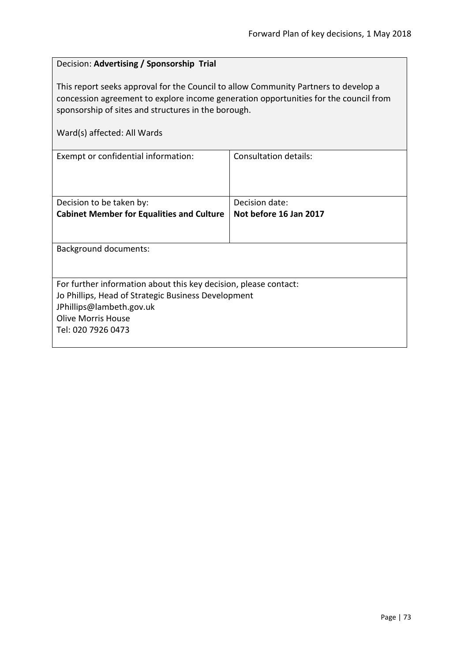## Decision: **Advertising / Sponsorship Trial**

This report seeks approval for the Council to allow Community Partners to develop a concession agreement to explore income generation opportunities for the council from sponsorship of sites and structures in the borough.

Ward(s) affected: All Wards

| Exempt or confidential information:                              | Consultation details:  |  |
|------------------------------------------------------------------|------------------------|--|
|                                                                  |                        |  |
|                                                                  |                        |  |
|                                                                  |                        |  |
| Decision to be taken by:                                         | Decision date:         |  |
| <b>Cabinet Member for Equalities and Culture</b>                 | Not before 16 Jan 2017 |  |
|                                                                  |                        |  |
|                                                                  |                        |  |
| <b>Background documents:</b>                                     |                        |  |
|                                                                  |                        |  |
|                                                                  |                        |  |
| For further information about this key decision, please contact: |                        |  |
| Jo Phillips, Head of Strategic Business Development              |                        |  |
| JPhillips@lambeth.gov.uk                                         |                        |  |
| <b>Olive Morris House</b>                                        |                        |  |
| Tel: 020 7926 0473                                               |                        |  |
|                                                                  |                        |  |
|                                                                  |                        |  |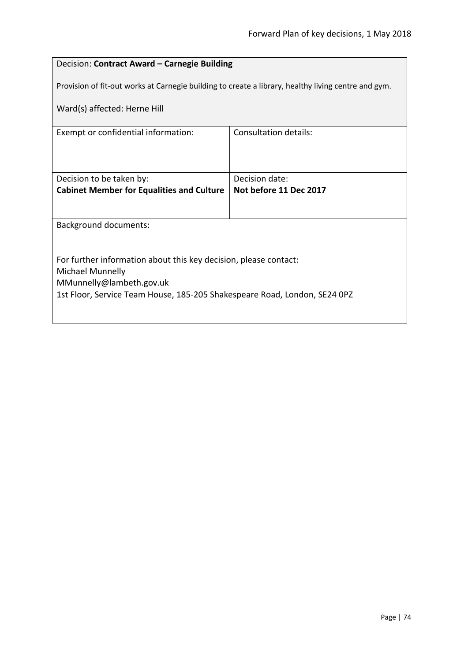# Decision: **Contract Award – Carnegie Building**

Provision of fit-out works at Carnegie building to create a library, healthy living centre and gym.

Ward(s) affected: Herne Hill

| Exempt or confidential information:                                       | Consultation details:  |  |
|---------------------------------------------------------------------------|------------------------|--|
|                                                                           |                        |  |
|                                                                           |                        |  |
|                                                                           |                        |  |
|                                                                           | Decision date:         |  |
| Decision to be taken by:                                                  |                        |  |
| <b>Cabinet Member for Equalities and Culture</b>                          | Not before 11 Dec 2017 |  |
|                                                                           |                        |  |
|                                                                           |                        |  |
| <b>Background documents:</b>                                              |                        |  |
|                                                                           |                        |  |
|                                                                           |                        |  |
|                                                                           |                        |  |
| For further information about this key decision, please contact:          |                        |  |
| Michael Munnelly                                                          |                        |  |
| MMunnelly@lambeth.gov.uk                                                  |                        |  |
|                                                                           |                        |  |
| 1st Floor, Service Team House, 185-205 Shakespeare Road, London, SE24 0PZ |                        |  |
|                                                                           |                        |  |
|                                                                           |                        |  |
|                                                                           |                        |  |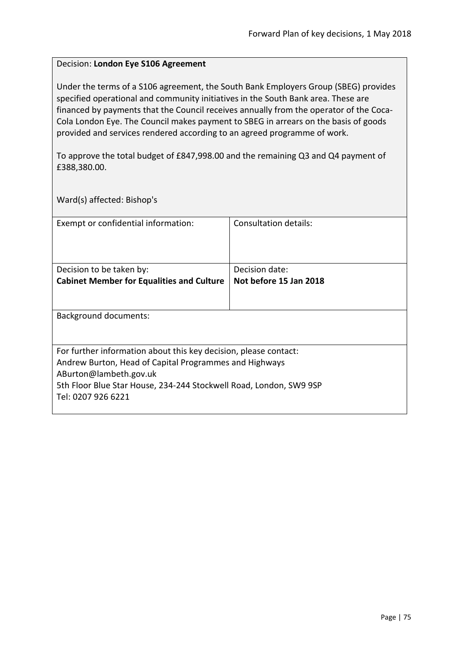### Decision: **London Eye S106 Agreement**

Under the terms of a S106 agreement, the South Bank Employers Group (SBEG) provides specified operational and community initiatives in the South Bank area. These are financed by payments that the Council receives annually from the operator of the Coca-Cola London Eye. The Council makes payment to SBEG in arrears on the basis of goods provided and services rendered according to an agreed programme of work.

To approve the total budget of £847,998.00 and the remaining Q3 and Q4 payment of £388,380.00.

Ward(s) affected: Bishop's

| Exempt or confidential information:                                                                                                                                                                                                              | Consultation details:  |
|--------------------------------------------------------------------------------------------------------------------------------------------------------------------------------------------------------------------------------------------------|------------------------|
| Decision to be taken by:                                                                                                                                                                                                                         | Decision date:         |
| <b>Cabinet Member for Equalities and Culture</b>                                                                                                                                                                                                 | Not before 15 Jan 2018 |
|                                                                                                                                                                                                                                                  |                        |
| Background documents:                                                                                                                                                                                                                            |                        |
| For further information about this key decision, please contact:<br>Andrew Burton, Head of Capital Programmes and Highways<br>ABurton@lambeth.gov.uk<br>5th Floor Blue Star House, 234-244 Stockwell Road, London, SW9 9SP<br>Tel: 0207 926 6221 |                        |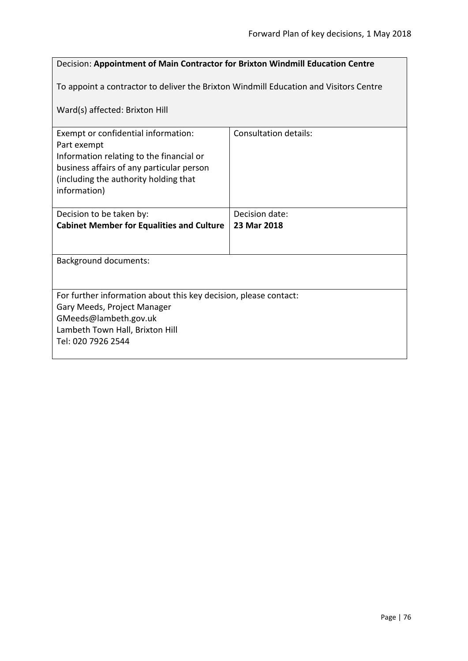## Decision: **Appointment of Main Contractor for Brixton Windmill Education Centre**

To appoint a contractor to deliver the Brixton Windmill Education and Visitors Centre

Ward(s) affected: Brixton Hill

| Exempt or confidential information:                              | Consultation details: |  |
|------------------------------------------------------------------|-----------------------|--|
| Part exempt                                                      |                       |  |
| Information relating to the financial or                         |                       |  |
| business affairs of any particular person                        |                       |  |
| (including the authority holding that)                           |                       |  |
| information)                                                     |                       |  |
|                                                                  |                       |  |
| Decision to be taken by:                                         | Decision date:        |  |
| <b>Cabinet Member for Equalities and Culture</b>                 | 23 Mar 2018           |  |
|                                                                  |                       |  |
|                                                                  |                       |  |
| <b>Background documents:</b>                                     |                       |  |
|                                                                  |                       |  |
|                                                                  |                       |  |
| For further information about this key decision, please contact: |                       |  |
| Gary Meeds, Project Manager                                      |                       |  |
| GMeeds@lambeth.gov.uk                                            |                       |  |
| Lambeth Town Hall, Brixton Hill                                  |                       |  |
| Tel: 020 7926 2544                                               |                       |  |
|                                                                  |                       |  |
|                                                                  |                       |  |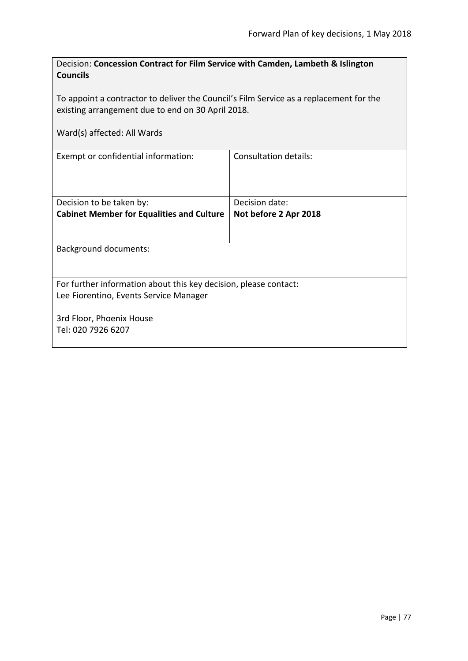| Decision: Concession Contract for Film Service with Camden, Lambeth & Islington<br><b>Councils</b>                                          |                              |  |
|---------------------------------------------------------------------------------------------------------------------------------------------|------------------------------|--|
| To appoint a contractor to deliver the Council's Film Service as a replacement for the<br>existing arrangement due to end on 30 April 2018. |                              |  |
| Ward(s) affected: All Wards                                                                                                                 |                              |  |
| Exempt or confidential information:                                                                                                         | <b>Consultation details:</b> |  |
| Decision to be taken by:                                                                                                                    | Decision date:               |  |
| <b>Cabinet Member for Equalities and Culture</b>                                                                                            | Not before 2 Apr 2018        |  |
| <b>Background documents:</b>                                                                                                                |                              |  |
| For further information about this key decision, please contact:<br>Lee Fiorentino, Events Service Manager                                  |                              |  |
| 3rd Floor, Phoenix House                                                                                                                    |                              |  |
| Tel: 020 7926 6207                                                                                                                          |                              |  |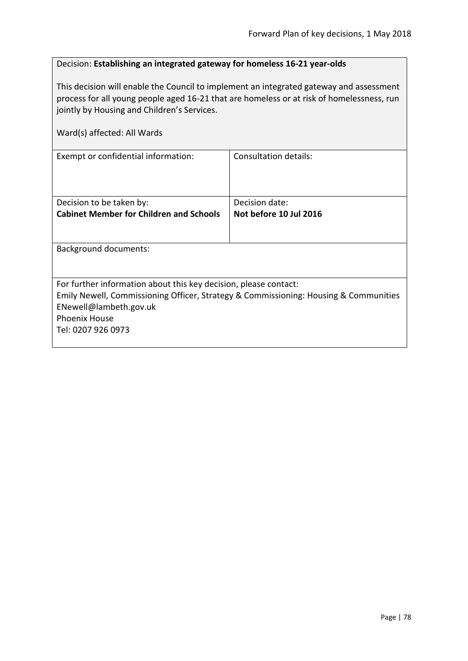### Decision: **Establishing an integrated gateway for homeless 16-21 year-olds**

This decision will enable the Council to implement an integrated gateway and assessment process for all young people aged 16-21 that are homeless or at risk of homelessness, run jointly by Housing and Children's Services.

| Ward(s) affected: All Wards                                                          |                        |
|--------------------------------------------------------------------------------------|------------------------|
| Exempt or confidential information:                                                  | Consultation details:  |
|                                                                                      |                        |
| Decision to be taken by:                                                             | Decision date:         |
| <b>Cabinet Member for Children and Schools</b>                                       | Not before 10 Jul 2016 |
|                                                                                      |                        |
| Background documents:                                                                |                        |
|                                                                                      |                        |
| For further information about this key decision, please contact:                     |                        |
| Emily Newell, Commissioning Officer, Strategy & Commissioning: Housing & Communities |                        |
| ENewell@lambeth.gov.uk                                                               |                        |
| <b>Phoenix House</b>                                                                 |                        |
| Tel: 0207 926 0973                                                                   |                        |
|                                                                                      |                        |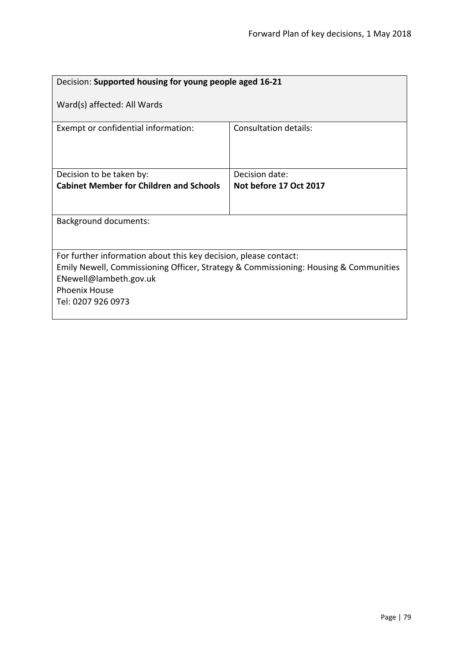| Decision: Supported housing for young people aged 16-21                                                                                                                                                                          |                        |  |
|----------------------------------------------------------------------------------------------------------------------------------------------------------------------------------------------------------------------------------|------------------------|--|
| Ward(s) affected: All Wards                                                                                                                                                                                                      |                        |  |
| Exempt or confidential information:                                                                                                                                                                                              | Consultation details:  |  |
| Decision to be taken by:                                                                                                                                                                                                         | Decision date:         |  |
| <b>Cabinet Member for Children and Schools</b>                                                                                                                                                                                   | Not before 17 Oct 2017 |  |
|                                                                                                                                                                                                                                  |                        |  |
| <b>Background documents:</b>                                                                                                                                                                                                     |                        |  |
|                                                                                                                                                                                                                                  |                        |  |
| For further information about this key decision, please contact:<br>Emily Newell, Commissioning Officer, Strategy & Commissioning: Housing & Communities<br>ENewell@lambeth.gov.uk<br><b>Phoenix House</b><br>Tel: 0207 926 0973 |                        |  |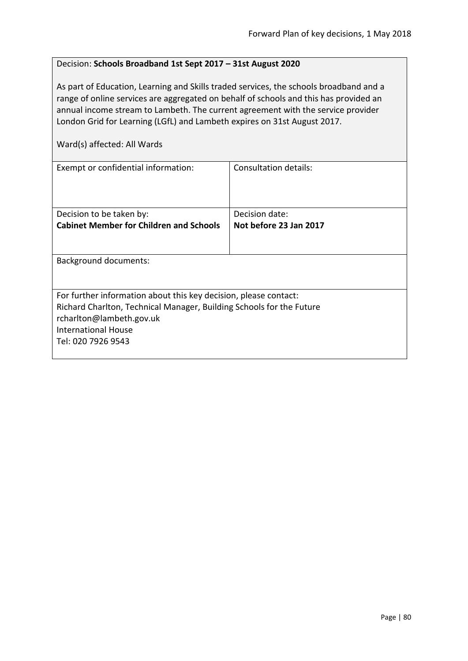#### Decision: **Schools Broadband 1st Sept 2017 – 31st August 2020**

As part of Education, Learning and Skills traded services, the schools broadband and a range of online services are aggregated on behalf of schools and this has provided an annual income stream to Lambeth. The current agreement with the service provider London Grid for Learning (LGfL) and Lambeth expires on 31st August 2017.

Ward(s) affected: All Wards

| Exempt or confidential information:                                  | Consultation details:  |
|----------------------------------------------------------------------|------------------------|
| Decision to be taken by:                                             | Decision date:         |
| <b>Cabinet Member for Children and Schools</b>                       | Not before 23 Jan 2017 |
|                                                                      |                        |
| <b>Background documents:</b>                                         |                        |
|                                                                      |                        |
| For further information about this key decision, please contact:     |                        |
| Richard Charlton, Technical Manager, Building Schools for the Future |                        |
| rcharlton@lambeth.gov.uk                                             |                        |
| <b>International House</b>                                           |                        |
| Tel: 020 7926 9543                                                   |                        |
|                                                                      |                        |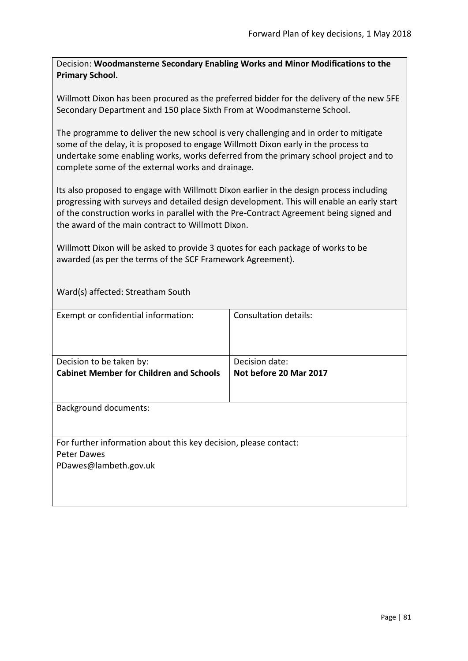Decision: **Woodmansterne Secondary Enabling Works and Minor Modifications to the Primary School.**

Willmott Dixon has been procured as the preferred bidder for the delivery of the new 5FE Secondary Department and 150 place Sixth From at Woodmansterne School.

The programme to deliver the new school is very challenging and in order to mitigate some of the delay, it is proposed to engage Willmott Dixon early in the process to undertake some enabling works, works deferred from the primary school project and to complete some of the external works and drainage.

Its also proposed to engage with Willmott Dixon earlier in the design process including progressing with surveys and detailed design development. This will enable an early start of the construction works in parallel with the Pre-Contract Agreement being signed and the award of the main contract to Willmott Dixon.

Willmott Dixon will be asked to provide 3 quotes for each package of works to be awarded (as per the terms of the SCF Framework Agreement).

Ward(s) affected: Streatham South

| Exempt or confidential information:                                                                      | <b>Consultation details:</b>             |
|----------------------------------------------------------------------------------------------------------|------------------------------------------|
| Decision to be taken by:<br><b>Cabinet Member for Children and Schools</b>                               | Decision date:<br>Not before 20 Mar 2017 |
| <b>Background documents:</b>                                                                             |                                          |
| For further information about this key decision, please contact:<br>Peter Dawes<br>PDawes@lambeth.gov.uk |                                          |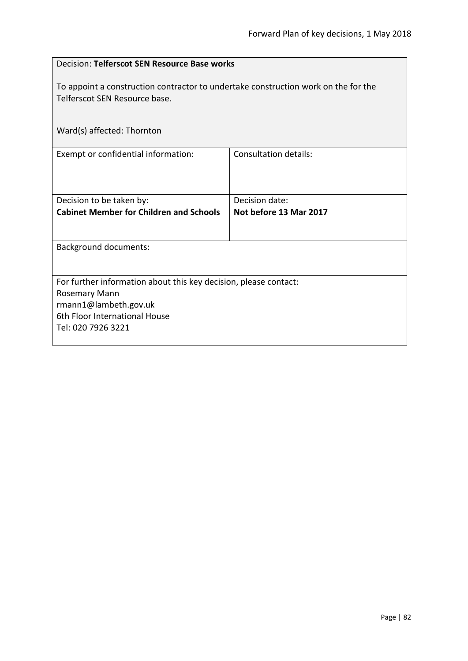| Decision: Telferscot SEN Resource Base works                                                                        |                              |  |
|---------------------------------------------------------------------------------------------------------------------|------------------------------|--|
| To appoint a construction contractor to undertake construction work on the for the<br>Telferscot SEN Resource base. |                              |  |
| Ward(s) affected: Thornton                                                                                          |                              |  |
| Exempt or confidential information:                                                                                 | <b>Consultation details:</b> |  |
| Decision to be taken by:                                                                                            | Decision date:               |  |
| <b>Cabinet Member for Children and Schools</b>                                                                      | Not before 13 Mar 2017       |  |
| <b>Background documents:</b>                                                                                        |                              |  |
| For further information about this key decision, please contact:                                                    |                              |  |
| <b>Rosemary Mann</b>                                                                                                |                              |  |
| rmann1@lambeth.gov.uk<br>6th Floor International House                                                              |                              |  |
| Tel: 020 7926 3221                                                                                                  |                              |  |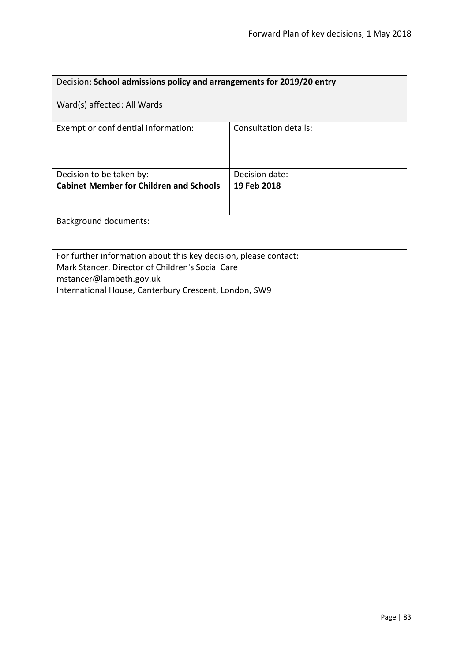| Decision: School admissions policy and arrangements for 2019/20 entry                                                                                                                                    |                              |  |
|----------------------------------------------------------------------------------------------------------------------------------------------------------------------------------------------------------|------------------------------|--|
| Ward(s) affected: All Wards                                                                                                                                                                              |                              |  |
| Exempt or confidential information:                                                                                                                                                                      | <b>Consultation details:</b> |  |
| Decision to be taken by:                                                                                                                                                                                 | Decision date:               |  |
| <b>Cabinet Member for Children and Schools</b>                                                                                                                                                           | 19 Feb 2018                  |  |
|                                                                                                                                                                                                          |                              |  |
| Background documents:                                                                                                                                                                                    |                              |  |
| For further information about this key decision, please contact:<br>Mark Stancer, Director of Children's Social Care<br>mstancer@lambeth.gov.uk<br>International House, Canterbury Crescent, London, SW9 |                              |  |